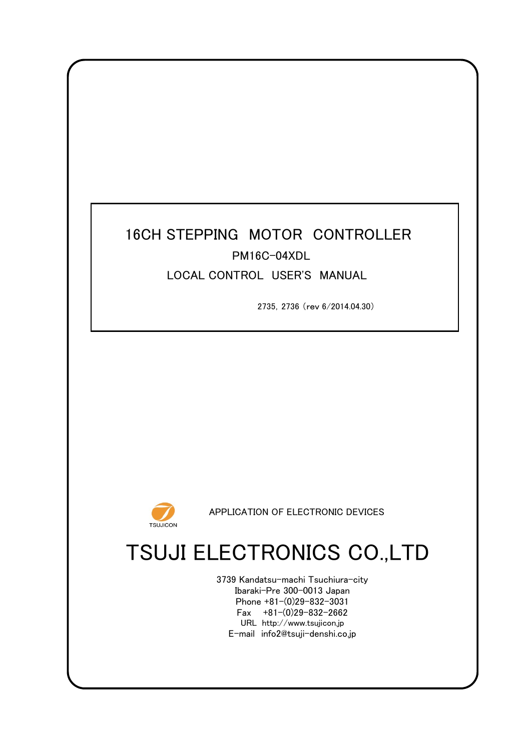# 16CH STEPPING MOTOR CONTROLLER LOCAL CONTROL USER'S MANUAL PM16C-04XDL

2735,2736 (rev 6/2014.04.30)



APPLICATION OF ELECTRONIC DEVICES

# TSUJI ELECTRONICS CO.,LTD

Phone +81-(0)29-832-3031 Fax  $+81-(0)29-832-2662$ URL http://www.tsujicon.jp E-mail info2@tsuji-denshi.co.jp 3739 Kandatsu-machi Tsuchiura-city Ibaraki-Pre 300-0013 Japan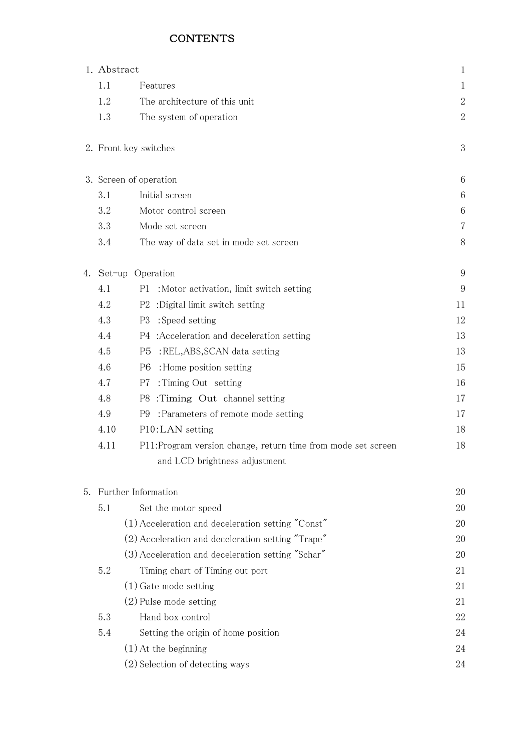# **CONTENTS**

|      | 1. Abstract                                                                                   | $\mathbf 1$    |
|------|-----------------------------------------------------------------------------------------------|----------------|
| 1.1  | Features                                                                                      |                |
| 1.2  | The architecture of this unit                                                                 | $\overline{2}$ |
| 1.3  | The system of operation                                                                       | $\overline{2}$ |
|      | 2. Front key switches                                                                         | 3              |
|      | 3. Screen of operation                                                                        | 6              |
| 3.1  | Initial screen                                                                                | 6              |
| 3.2  | Motor control screen                                                                          | 6              |
| 3.3  | Mode set screen                                                                               | 7              |
| 3.4  | The way of data set in mode set screen                                                        | 8              |
|      | 4. Set-up Operation                                                                           | 9              |
| 4.1  | : Motor activation, limit switch setting<br>P1                                                | 9              |
| 4.2  | :Digital limit switch setting<br>P2                                                           | 11             |
| 4.3  | :Speed setting<br>P3                                                                          | 12             |
| 4.4  | :Acceleration and deceleration setting<br>P4                                                  | 13             |
| 4.5  | :REL,ABS,SCAN data setting<br>P <sub>5</sub>                                                  | 13             |
| 4.6  | : Home position setting<br>P6                                                                 | 15             |
| 4.7  | :Timing Out setting<br>P7                                                                     | 16             |
| 4.8  | :Timing Out channel setting<br>P8                                                             | 17             |
| 4.9  | : Parameters of remote mode setting<br>P9                                                     | 17             |
| 4.10 | P10:LAN setting                                                                               | 18             |
| 4.11 | P11:Program version change, return time from mode set screen<br>and LCD brightness adjustment | 18             |
|      |                                                                                               |                |
| 5.   | Further Information                                                                           | 20             |
| 5.1  | Set the motor speed                                                                           | 20             |
|      | $(1)$ Acceleration and deceleration setting "Const"                                           | 20             |
|      | (2) Acceleration and deceleration setting "Trape"                                             | 20             |
|      | (3) Acceleration and deceleration setting "Schar"                                             | 20             |
| 5.2  | Timing chart of Timing out port                                                               | 21             |
|      | $(1)$ Gate mode setting                                                                       | 21             |
|      | $(2)$ Pulse mode setting                                                                      | 21             |
| 5.3  | Hand box control                                                                              | 22             |
| 5.4  | Setting the origin of home position                                                           | 24             |
|      | $(1)$ At the beginning                                                                        | 24             |
|      | (2) Selection of detecting ways                                                               | 24             |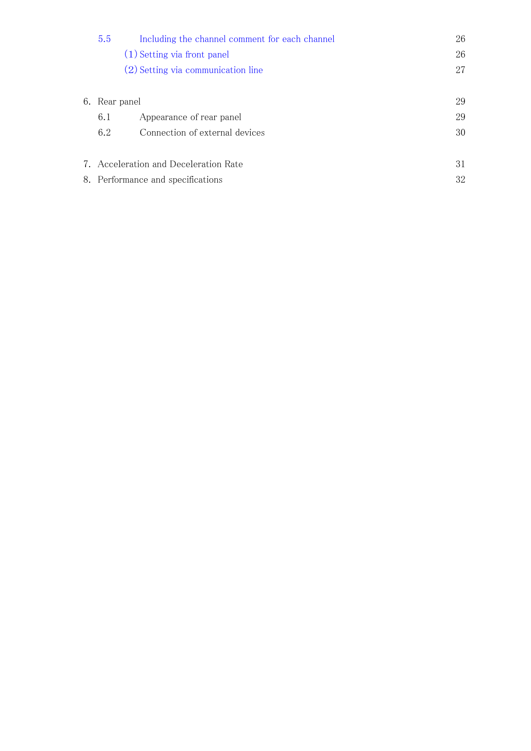|    | 5.5<br>Including the channel comment for each channel | 26 |
|----|-------------------------------------------------------|----|
|    | (1) Setting via front panel                           | 26 |
|    | (2) Setting via communication line                    | 27 |
|    | 6. Rear panel                                         | 29 |
|    | Appearance of rear panel<br>6.1                       | 29 |
|    | 6.2<br>Connection of external devices                 | 30 |
| 7. | Acceleration and Deceleration Rate                    | 31 |
|    | 8. Performance and specifications                     | 32 |
|    |                                                       |    |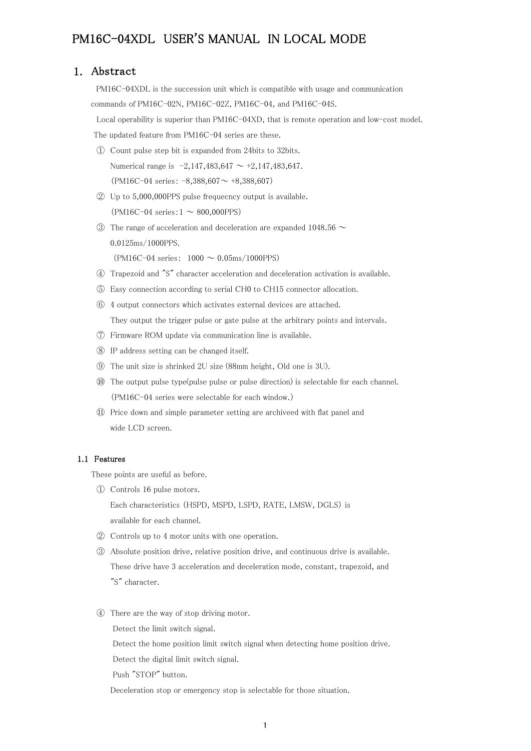# PM16C-04XDL USER'S MANUAL IN LOCAL MODE

### 1. Abstract

 PM16C-04XDL is the succession unit which is compatible with usage and communication commands of PM16C-02N, PM16C-02Z, PM16C-04, and PM16C-04S.

Local operability is superior than PM16C-04XD, that is remote operation and low-cost model.

The updated feature from PM16C-04 series are these.

- ① Count pulse step bit is expanded from 24bits to 32bits. Numerical range is  $-2,147,483,647 \sim +2,147,483,647$ .  $(PM16C-04 \text{ series}: -8,388,607 \sim +8,388,607)$
- ② Up to 5,000,000PPS pulse frequecncy output is available.  $(PM16C-04 \text{ series}: 1 \sim 800,000PPS)$
- $\circ$  The range of acceleration and deceleration are expanded 1048.56  $\sim$ 0.0125ms/1000PPS.

 $(PM16C-04 \text{ series}: 1000 \sim 0.05 \text{ms}/1000 \text{PPS})$ 

- ④ Trapezoid and "S" character acceleration and deceleration activation is available.
- ⑤ Easy connection according to serial CH0 to CH15 connector allocation.
- ⑥ 4 output connectors which activates external devices are attached. They output the trigger pulse or gate pulse at the arbitrary points and intervals.
- ⑦ Firmware ROM update via communication line is available.
- ⑧ IP address setting can be changed itself.
- ⑨ The unit size is shrinked 2U size (88mm height, Old one is 3U).
- ⑩ The output pulse type(pulse pulse or pulse direction) is selectable for each channel. (PM16C-04 series were selectable for each window.)
- ⑪ Price down and simple parameter setting are archiveed with flat panel and wide LCD screen.

#### 1.1 Features

These points are useful as before.

① Controls 16 pulse motors.

Each characteristics (HSPD, MSPD, LSPD, RATE, LMSW, DGLS) is available for each channel.

- ② Controls up to 4 motor units with one operation.
- ③ Absolute position drive, relative position drive, and continuous drive is available. These drive have 3 acceleration and deceleration mode, constant, trapezoid, and "S" character.
- ④ There are the way of stop driving motor.

Detect the limit switch signal.

Detect the home position limit switch signal when detecting home position drive.

Detect the digital limit switch signal.

Push "STOP" button.

Deceleration stop or emergency stop is selectable for those situation.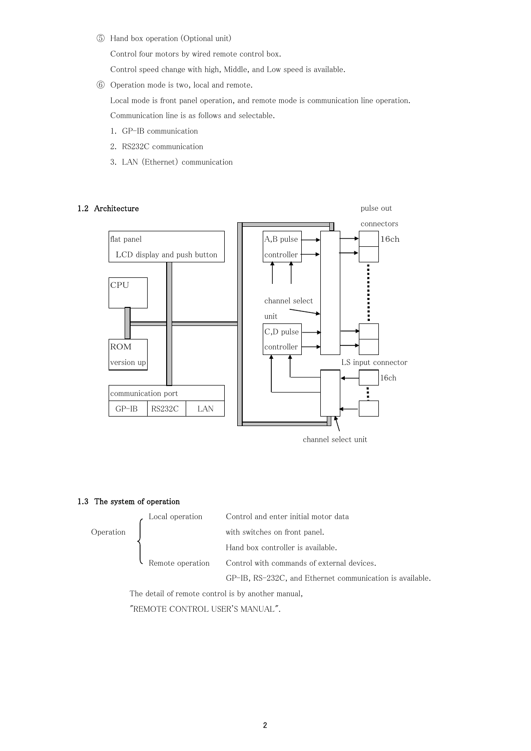⑤ Hand box operation (Optional unit)

Control four motors by wired remote control box.

Control speed change with high, Middle, and Low speed is available.

⑥ Operation mode is two, local and remote.

Local mode is front panel operation, and remote mode is communication line operation.

Communication line is as follows and selectable.

- 1. GP-IB communication
- 2. RS232C communication
- 3. LAN (Ethernet) communication

#### 1.2 Architecture pulse out



channel select unit

#### 1.3 The system of operation



The detail of remote control is by another manual, "REMOTE CONTROL USER'S MANUAL".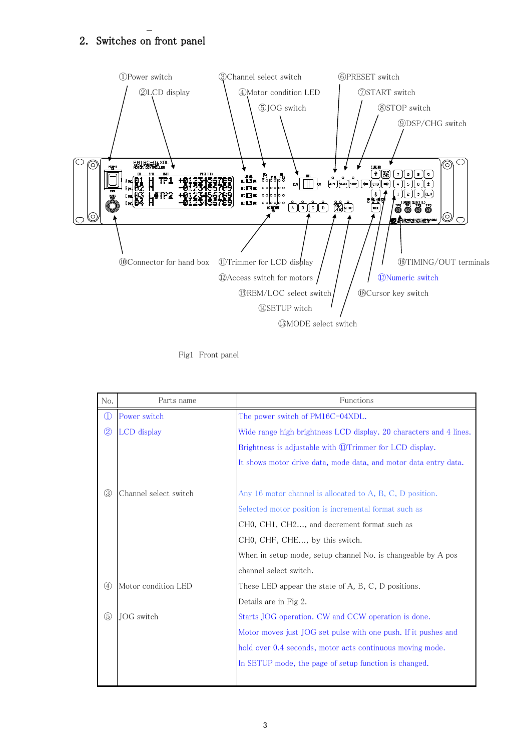# 2. Switches on front panel



Fig1 Front panel

| No.                               | Parts name            | Functions                                                          |  |  |  |  |  |  |  |  |  |
|-----------------------------------|-----------------------|--------------------------------------------------------------------|--|--|--|--|--|--|--|--|--|
| $^{\textcircled{\scriptsize{1}}}$ | Power switch          | The power switch of PM16C-04XDL.                                   |  |  |  |  |  |  |  |  |  |
| $\circled{2}$                     | LCD display           | Wide range high brightness LCD display. 20 characters and 4 lines. |  |  |  |  |  |  |  |  |  |
|                                   |                       | Brightness is adjustable with <b>WTrimmer</b> for LCD display.     |  |  |  |  |  |  |  |  |  |
|                                   |                       | It shows motor drive data, mode data, and motor data entry data.   |  |  |  |  |  |  |  |  |  |
|                                   |                       |                                                                    |  |  |  |  |  |  |  |  |  |
| $\circledS$                       | Channel select switch | Any 16 motor channel is allocated to A, B, C, D position.          |  |  |  |  |  |  |  |  |  |
|                                   |                       | Selected motor position is incremental format such as              |  |  |  |  |  |  |  |  |  |
|                                   |                       | CH0, CH1, CH2, and decrement format such as                        |  |  |  |  |  |  |  |  |  |
|                                   |                       | CH0, CHF, CHE, by this switch.                                     |  |  |  |  |  |  |  |  |  |
|                                   |                       | When in setup mode, setup channel No. is changeable by A pos       |  |  |  |  |  |  |  |  |  |
|                                   |                       | channel select switch.                                             |  |  |  |  |  |  |  |  |  |
| $\circled{4}$                     | Motor condition LED   | These LED appear the state of A, B, C, D positions.                |  |  |  |  |  |  |  |  |  |
|                                   |                       | Details are in Fig 2.                                              |  |  |  |  |  |  |  |  |  |
| $\circledS$                       | JOG switch            | Starts JOG operation. CW and CCW operation is done.                |  |  |  |  |  |  |  |  |  |
|                                   |                       | Motor moves just JOG set pulse with one push. If it pushes and     |  |  |  |  |  |  |  |  |  |
|                                   |                       | hold over 0.4 seconds, motor acts continuous moving mode.          |  |  |  |  |  |  |  |  |  |
|                                   |                       | In SETUP mode, the page of setup function is changed.              |  |  |  |  |  |  |  |  |  |
|                                   |                       |                                                                    |  |  |  |  |  |  |  |  |  |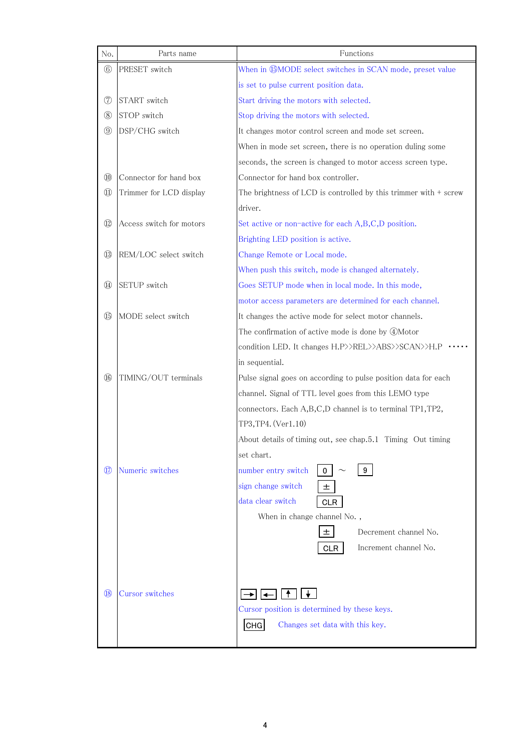| No.                               | Parts name               | Functions                                                        |
|-----------------------------------|--------------------------|------------------------------------------------------------------|
| $^{\circledR}$                    | PRESET switch            | When in <b>GMODE</b> select switches in SCAN mode, preset value  |
|                                   |                          | is set to pulse current position data.                           |
| ⑦                                 | START switch             | Start driving the motors with selected.                          |
| $^\mathrm{(8)}$                   | STOP switch              | Stop driving the motors with selected.                           |
| $\circled{9}$                     | DSP/CHG switch           | It changes motor control screen and mode set screen.             |
|                                   |                          | When in mode set screen, there is no operation duling some       |
|                                   |                          | seconds, the screen is changed to motor access screen type.      |
| $^{\circledR}$                    | Connector for hand box   | Connector for hand box controller.                               |
| $^{\textcircled{\scriptsize{1}}}$ | Trimmer for LCD display  | The brightness of LCD is controlled by this trimmer with + screw |
|                                   |                          | driver.                                                          |
| $^{\textcircled{\tiny 12}}$       | Access switch for motors | Set active or non-active for each A,B,C,D position.              |
|                                   |                          | Brighting LED position is active.                                |
| $\bigcirc$                        | REM/LOC select switch    | Change Remote or Local mode.                                     |
|                                   |                          | When push this switch, mode is changed alternately.              |
| $\circled{4}$                     | <b>SETUP</b> switch      | Goes SETUP mode when in local mode. In this mode,                |
|                                   |                          | motor access parameters are determined for each channel.         |
| $\circled{1}$                     | MODE select switch       | It changes the active mode for select motor channels.            |
|                                   |                          | The confirmation of active mode is done by 4Motor                |
|                                   |                          | condition LED. It changes H.P>>REL>>ABS>>SCAN>>H.P               |
|                                   |                          | in sequential.                                                   |
| $\circledR$                       | TIMING/OUT terminals     | Pulse signal goes on according to pulse position data for each   |
|                                   |                          | channel. Signal of TTL level goes from this LEMO type            |
|                                   |                          | connectors. Each A,B,C,D channel is to terminal TP1,TP2,         |
|                                   |                          | TP3, TP4. (Ver1.10)                                              |
|                                   |                          | About details of timing out, see chap.5.1 Timing Out timing      |
|                                   |                          | set chart.                                                       |
| $\left( 17\right)$                | Numeric switches         | number entry switch<br>9<br>0                                    |
|                                   |                          | sign change switch<br>土                                          |
|                                   |                          | data clear switch<br><b>CLR</b>                                  |
|                                   |                          | When in change channel No.,                                      |
|                                   |                          | Decrement channel No.<br>土                                       |
|                                   |                          | Increment channel No.<br><b>CLR</b>                              |
|                                   |                          |                                                                  |
|                                   |                          |                                                                  |
| (18)                              | Cursor switches          | Ť.<br>◂                                                          |
|                                   |                          | Cursor position is determined by these keys.                     |
|                                   |                          | Changes set data with this key.<br>CHG                           |
|                                   |                          |                                                                  |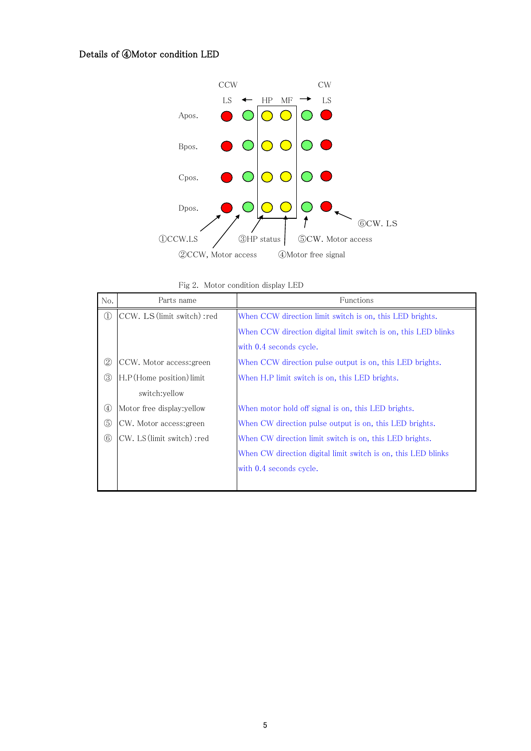# Details of ④Motor condition LED



Fig 2. Motor condition display LED

| No.             | Parts name                   | Functions                                                      |  |  |  |  |  |  |  |  |  |
|-----------------|------------------------------|----------------------------------------------------------------|--|--|--|--|--|--|--|--|--|
| $\circled{1}$   | CCW. LS (limit switch) : red | When CCW direction limit switch is on, this LED brights.       |  |  |  |  |  |  |  |  |  |
|                 |                              | When CCW direction digital limit switch is on, this LED blinks |  |  |  |  |  |  |  |  |  |
|                 |                              | with 0.4 seconds cycle.                                        |  |  |  |  |  |  |  |  |  |
| $^{\copyright}$ | CCW. Motor access: green     | When CCW direction pulse output is on, this LED brights.       |  |  |  |  |  |  |  |  |  |
| $\circledS$     | H.P (Home position) limit    | When H.P limit switch is on, this LED brights.                 |  |  |  |  |  |  |  |  |  |
|                 | switch:yellow                |                                                                |  |  |  |  |  |  |  |  |  |
| $\circledast$   | Motor free display: yellow   | When motor hold off signal is on, this LED brights.            |  |  |  |  |  |  |  |  |  |
| $\circledS$     | CW. Motor access: green      | When CW direction pulse output is on, this LED brights.        |  |  |  |  |  |  |  |  |  |
| $^{\circledR}$  | CW. LS (limit switch) : red  | When CW direction limit switch is on, this LED brights.        |  |  |  |  |  |  |  |  |  |
|                 |                              | When CW direction digital limit switch is on, this LED blinks  |  |  |  |  |  |  |  |  |  |
|                 |                              | with 0.4 seconds cycle.                                        |  |  |  |  |  |  |  |  |  |
|                 |                              |                                                                |  |  |  |  |  |  |  |  |  |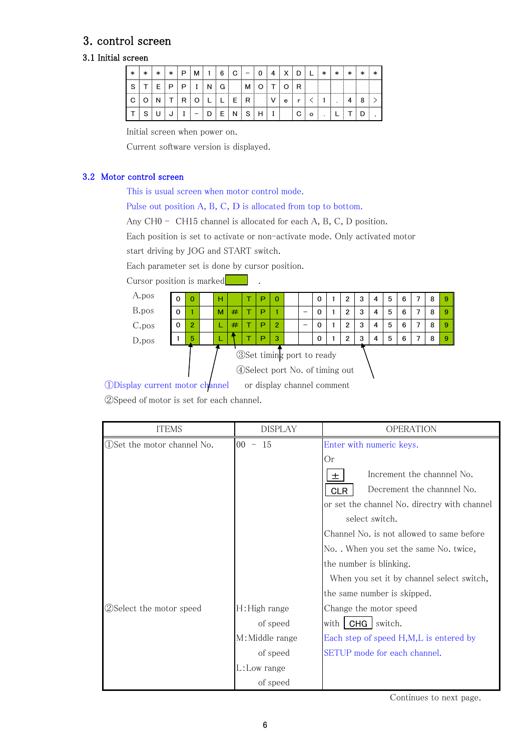# 3. control screen

# 3.1 Initial screen

| $\ast$                  | $\ast$ | $\ast$ | $\ast$       | ₽   | м                        |   | 6 | C. | $\cdot$ $-$     | 0 | 4 | х | D |   | $\ast$ | ∗ | $\ast$ | $\ast$ |  |
|-------------------------|--------|--------|--------------|-----|--------------------------|---|---|----|-----------------|---|---|---|---|---|--------|---|--------|--------|--|
| $\mathbf{\hat{c}}$<br>◡ |        | TIE    | $\mathsf{P}$ | P   |                          | N | G |    | м               |   |   |   | R |   |        |   |        |        |  |
| C                       |        |        |              | TRI | O                        |   |   | Ε  | R               |   |   | e |   |   |        |   |        |        |  |
|                         | ິ      |        |              |     | $\overline{\phantom{0}}$ |   | - |    | $N$ $S$ $H$ $I$ |   |   |   | C | O |        |   |        |        |  |

Initial screen when power on.

Current software version is displayed.

#### 3.2 Motor control screen

This is usual screen when motor control mode.

Pulse out position A, B, C, D is allocated from top to bottom.

Any CH0 - CH15 channel is allocated for each A, B, C, D position.

Each position is set to activate or non-activate mode. Only activated motor

start driving by JOG and START switch.

Each parameter set is done by cursor position.

Cursor position is marked .



①Display current motor channel or display channel comment

②Speed of motor is set for each channel.

| <b>ITEMS</b>                  | <b>DISPLAY</b>  | OPERATION                                    |  |  |  |  |  |  |  |
|-------------------------------|-----------------|----------------------------------------------|--|--|--|--|--|--|--|
| (1) Set the motor channel No. | $00 - 15$       | Enter with numeric keys.                     |  |  |  |  |  |  |  |
|                               |                 | Or                                           |  |  |  |  |  |  |  |
|                               |                 | Increment the channnel No.<br>土              |  |  |  |  |  |  |  |
|                               |                 | Decrement the channnel No.<br><b>CLR</b>     |  |  |  |  |  |  |  |
|                               |                 | or set the channel No. directry with channel |  |  |  |  |  |  |  |
|                               |                 | select switch.                               |  |  |  |  |  |  |  |
|                               |                 | Channel No. is not allowed to same before    |  |  |  |  |  |  |  |
|                               |                 | No. . When you set the same No. twice,       |  |  |  |  |  |  |  |
|                               |                 | the number is blinking.                      |  |  |  |  |  |  |  |
|                               |                 | When you set it by channel select switch,    |  |  |  |  |  |  |  |
|                               |                 | the same number is skipped.                  |  |  |  |  |  |  |  |
| 2 Select the motor speed      | H: High range   | Change the motor speed                       |  |  |  |  |  |  |  |
|                               | of speed        | CHG   switch.<br>with I                      |  |  |  |  |  |  |  |
|                               | M: Middle range | Each step of speed H,M,L is entered by       |  |  |  |  |  |  |  |
|                               | of speed        | SETUP mode for each channel.                 |  |  |  |  |  |  |  |
|                               | L:Low range     |                                              |  |  |  |  |  |  |  |
|                               | of speed        |                                              |  |  |  |  |  |  |  |

Continues to next page.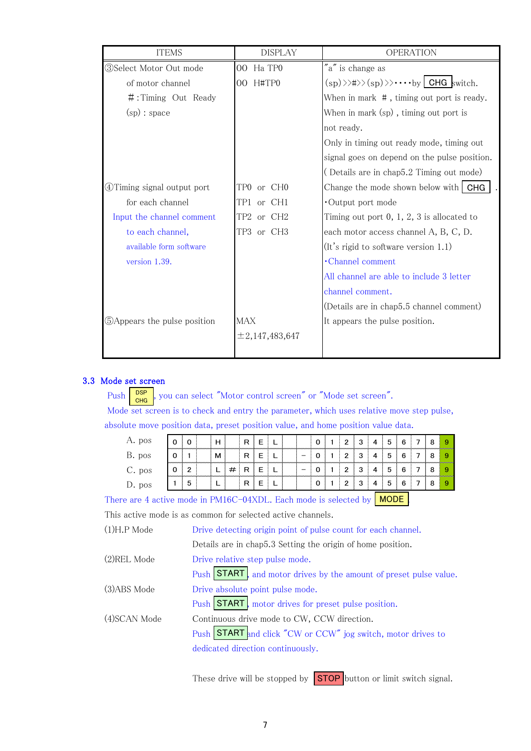| <b>ITEMS</b>                 | <b>DISPLAY</b>            | <b>OPERATION</b>                                                                                               |
|------------------------------|---------------------------|----------------------------------------------------------------------------------------------------------------|
| (3)Select Motor Out mode     | Ha TP <sub>0</sub><br>00  | "a" is change as                                                                                               |
| of motor channel             | H#TP0<br>00               | $\langle sp \rangle \rangle \langle sp \rangle \rangle \langle sp \rangle \rangle \cdots \rangle$ LGHG switch. |
| $\#$ : Timing Out Ready      |                           | When in mark #, timing out port is ready.                                                                      |
| (sp): space                  |                           | When in mark (sp), timing out port is                                                                          |
|                              |                           | not ready.                                                                                                     |
|                              |                           | Only in timing out ready mode, timing out                                                                      |
|                              |                           | signal goes on depend on the pulse position.                                                                   |
|                              |                           | (Details are in chap5.2 Timing out mode)                                                                       |
| 4) Timing signal output port | TP0 or CH0                | Change the mode shown below with $CHG$                                                                         |
| for each channel             | TP1<br>or CH <sub>1</sub> | Output port mode                                                                                               |
| Input the channel comment    | TP2 or CH2                | Timing out port $0, 1, 2, 3$ is allocated to                                                                   |
| to each channel,             | TP3 or CH3                | each motor access channel A, B, C, D.                                                                          |
| available form software      |                           | (It's rigid to software version 1.1)                                                                           |
| version 1.39.                |                           | $\cdot$ Channel comment                                                                                        |
|                              |                           | All channel are able to include 3 letter                                                                       |
|                              |                           | channel comment.                                                                                               |
|                              |                           | (Details are in chap5.5 channel comment)                                                                       |
| 5 Appears the pulse position | MAX                       | It appears the pulse position.                                                                                 |
|                              | $\pm 2,147,483,647$       |                                                                                                                |
|                              |                           |                                                                                                                |

## 3.3 Mode set screen

Push  $\frac{psp}{q}$ , you can select "Motor control screen" or "Mode set screen". Mode set screen is to check and entry the parameter, which uses relative move step pulse, absolute move position data, preset position value, and home position value data. **DSP CHG** 

| A. pos   |   |                             | н | ⋼ |  |  | 0 | າ | ю | G | 6 |  |  |
|----------|---|-----------------------------|---|---|--|--|---|---|---|---|---|--|--|
| B. pos   |   | --------------------------- | м | ⋼ |  |  | 0 | ົ | o |   | 6 |  |  |
| $C.$ pos | C | ◠                           | - |   |  |  | 0 | າ |   | ∽ | 6 |  |  |
| J. pos   |   | 5                           |   | ∍ |  |  | 0 | ົ |   | n |   |  |  |

There are 4 active mode in PM16C-04XDL. Each mode is selected by  $\blacksquare$  MODE  $\blacksquare$ 

This active mode is as common for selected active channels.

| $(1)H.P$ Mode | Drive detecting origin point of pulse count for each channel.     |
|---------------|-------------------------------------------------------------------|
|               | Details are in chap5.3 Setting the origin of home position.       |
| (2)REL Mode   | Drive relative step pulse mode.                                   |
|               | Push START, and motor drives by the amount of preset pulse value. |
| (3)ABS Mode   | Drive absolute point pulse mode.                                  |
|               | Push START motor drives for preset pulse position.                |
| (4)SCAN Mode  | Continuous drive mode to CW, CCW direction.                       |
|               | Push START and click "CW or CCW" jog switch, motor drives to      |
|               | dedicated direction continuously.                                 |
|               |                                                                   |

These drive will be stopped by  $STOP$  button or limit switch signal.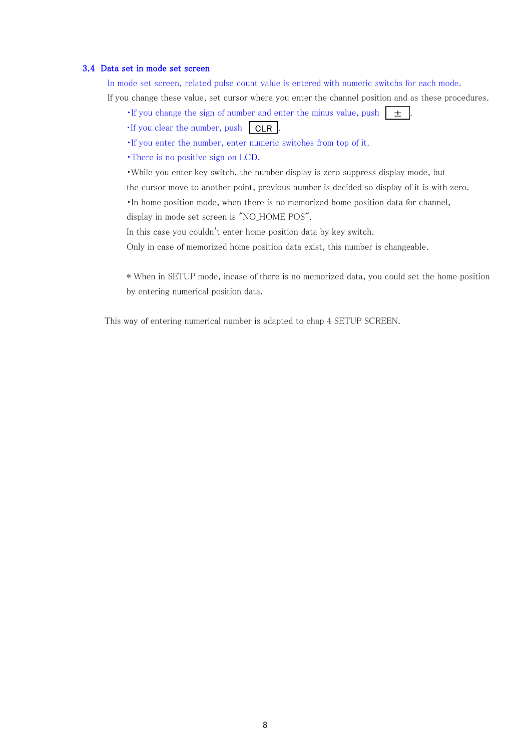#### 3.4 Data set in mode set screen

In mode set screen, related pulse count value is entered with numeric switchs for each mode.

If you change these value, set cursor where you enter the channel position and as these procedures.

- If you change the sign of number and enter the minus value, push  $\pm$  .
- $\cdot$  If you clear the number, push  $\boxed{\text{CLR}}$ .
- ・If you enter the number, enter numeric switches from top of it.
- ・There is no positive sign on LCD.
- ・While you enter key switch, the number display is zero suppress display mode, but
- the cursor move to another point, previous number is decided so display of it is with zero.

・In home position mode, when there is no memorized home position data for channel,

display in mode set screen is "NO\_HOME POS".

In this case you couldn't enter home position data by key switch.

Only in case of memorized home position data exist, this number is changeable.

\* When in SETUP mode, incase of there is no memorized data, you could set the home position by entering numerical position data.

This way of entering numerical number is adapted to chap 4 SETUP SCREEN.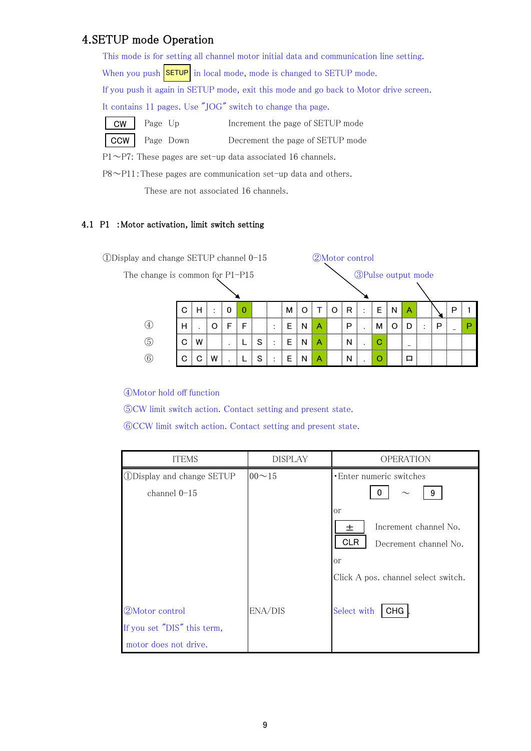# 4.SETUP mode Operation

|            |                                                            |           | This mode is for setting all channel motor initial data and communication line setting. |  |  |  |  |  |  |  |
|------------|------------------------------------------------------------|-----------|-----------------------------------------------------------------------------------------|--|--|--|--|--|--|--|
|            |                                                            |           | When you push <b>SETUP</b> in local mode, mode is changed to SETUP mode.                |  |  |  |  |  |  |  |
|            |                                                            |           | If you push it again in SETUP mode, exit this mode and go back to Motor drive screen.   |  |  |  |  |  |  |  |
|            | It contains 11 pages. Use "JOG" switch to change tha page. |           |                                                                                         |  |  |  |  |  |  |  |
| <b>CW</b>  | Page Up                                                    |           | Increment the page of SETUP mode                                                        |  |  |  |  |  |  |  |
| <b>CCW</b> |                                                            | Page Down | Decrement the page of SETUP mode                                                        |  |  |  |  |  |  |  |
|            |                                                            |           | $P1 \sim P7$ : These pages are set-up data associated 16 channels.                      |  |  |  |  |  |  |  |

P8~P11:These pages are communication set-up data and others.

These are not associated 16 channels.

## 4.1 P1 :Motor activation, limit switch setting

| $\Omega$ Display and change SETUP channel 0-15 | 2Motor control             |   |         |   |          |   |                     |   |   |   |         |   |        |   |   |   |         |   |   |   |
|------------------------------------------------|----------------------------|---|---------|---|----------|---|---------------------|---|---|---|---------|---|--------|---|---|---|---------|---|---|---|
| The change is common for P1-P15                | <b>3</b> Pulse output mode |   |         |   |          |   |                     |   |   |   |         |   |        |   |   |   |         |   |   |   |
|                                                |                            |   |         |   |          |   |                     |   |   |   |         |   |        |   |   |   |         |   |   |   |
|                                                | C                          | н | $\cdot$ | 0 | $\Omega$ |   |                     | м | O |   | $\circ$ | R | $\sim$ | Е | N | А |         |   | P |   |
| (4)                                            | н                          |   | O       | F | F        |   | ٠                   | E | N | А |         | P |        | М | Ο | D | $\cdot$ | Р |   | Р |
| (5)                                            | C                          | w |         |   |          | S | . .<br>$\mathbf{r}$ | E | N | A |         | N |        | C |   | - |         |   |   |   |
| (6)                                            | C                          | C | w       |   |          | S | ٠.                  | E | N | A |         | N |        | O |   | 口 |         |   |   |   |

④Motor hold off function

⑤CW limit switch action. Contact setting and present state.

⑥CCW limit switch action. Contact setting and present state.

| <b>ITEMS</b>                                                           | <b>DISPLAY</b> | <b>OPERATION</b>                                                                                                                                                                 |
|------------------------------------------------------------------------|----------------|----------------------------------------------------------------------------------------------------------------------------------------------------------------------------------|
| 1D Display and change SETUP<br>channel $0-15$                          | $00 - 15$      | • Enter numeric switches<br>9<br>O<br><sub>or</sub><br>Increment channel No.<br>土<br><b>CLR</b><br>Decrement channel No.<br><sub>or</sub><br>Click A pos. channel select switch. |
| 2Motor control<br>If you set "DIS" this term,<br>motor does not drive. | ENA/DIS        | Select with<br><b>CHG</b>                                                                                                                                                        |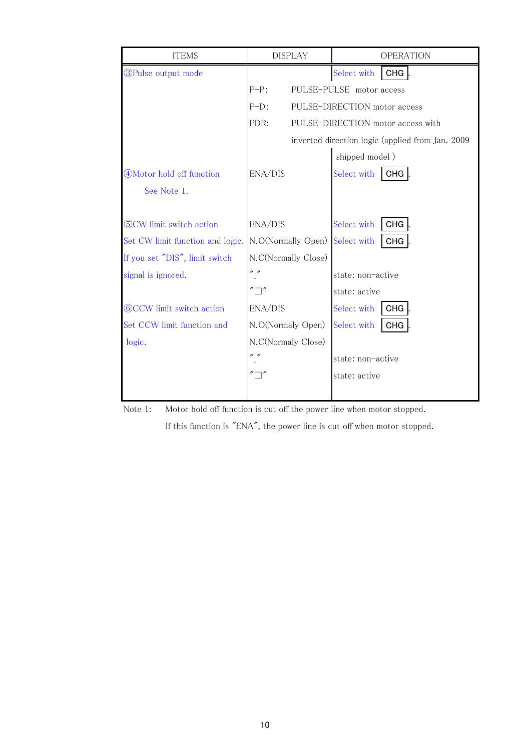| <b>ITEMS</b>                     |                     | <b>DISPLAY</b> | <b>OPERATION</b>                                 |
|----------------------------------|---------------------|----------------|--------------------------------------------------|
| <b>3</b> Pulse output mode       |                     |                | Select with<br><b>CHG</b>                        |
|                                  | $P-P:$              |                | PULSE-PULSE motor access                         |
|                                  | $P-D$ :             |                | PULSE-DIRECTION motor access                     |
|                                  | PDR:                |                | PULSE-DIRECTION motor access with                |
|                                  |                     |                | inverted direction logic (applied from Jan. 2009 |
|                                  |                     |                | shipped model)                                   |
| 4) Motor hold off function       | ENA/DIS             |                | Select with<br><b>CHG</b>                        |
| See Note 1.                      |                     |                |                                                  |
|                                  |                     |                |                                                  |
| (5) CW limit switch action       | ENA/DIS             |                | Select with<br><b>CHG</b>                        |
| Set CW limit function and logic. | N.O(Normally Open)  |                | Select with<br><b>CHG</b>                        |
| If you set "DIS", limit switch   | N.C(Normally Close) |                |                                                  |
| signal is ignored.               | n n                 |                | state: non-active                                |
|                                  |                     |                | state: active                                    |
| <b>60CCW</b> limit switch action | ENA/DIS             |                | Select with<br><b>CHG</b>                        |
| Set CCW limit function and       | N.O(Normaly Open)   |                | Select with<br><b>CHG</b>                        |
| logic.                           | N.C(Normaly Close)  |                |                                                  |
|                                  | " "                 |                | state: non-active                                |
|                                  |                     |                | state: active                                    |
|                                  |                     |                |                                                  |



If this function is "ENA", the power line is cut off when motor stopped.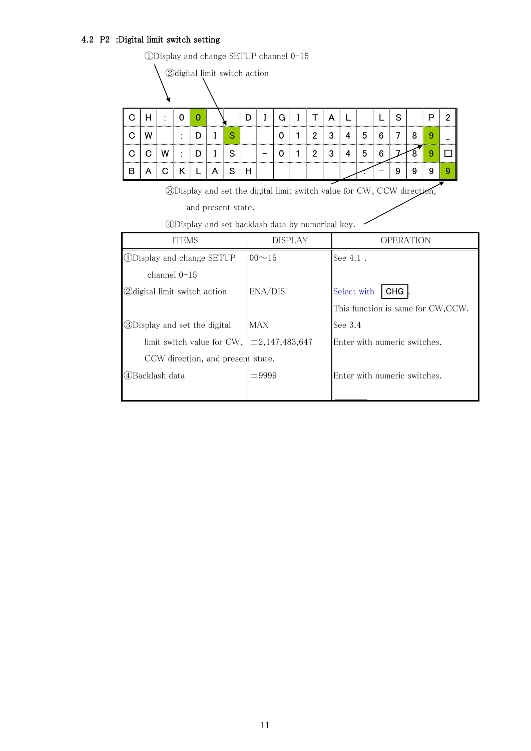# 4.2 P2 :Digital limit switch setting

 $\textcircled{\textsc{1}}$  Display and change SETUP channel  $0\text{--}15$ 

 $\bigwedge \text{\textcircled{$\lambda$}}$ 

| $\Omega$    |   | ÷           | $\begin{array}{c} 0 \end{array}$ | $\Omega$       |                              |   | D |                          | G | $I$ $T$         |   |                |                 |   | S |   | D | ŋ |
|-------------|---|-------------|----------------------------------|----------------|------------------------------|---|---|--------------------------|---|-----------------|---|----------------|-----------------|---|---|---|---|---|
| $\Omega$    |   |             | $\mathbb{R}^n$                   | D <sub>1</sub> |                              | S |   |                          |   | $1 \mid 2 \mid$ | 3 | $\overline{4}$ | 5               | 6 |   | 8 |   |   |
| $\mathbf C$ | C | W           |                                  |                | $\therefore$ $ D $ $I$ $ S $ |   |   | $\overline{\phantom{0}}$ | 0 | $1 \mid 2 \mid$ | 3 | $\overline{4}$ | $5\phantom{.0}$ |   |   |   |   |   |
| B           | Α | $\mathbf C$ |                                  |                | $\overline{A}$               | S | н |                          |   |                 |   |                |                 |   | 9 |   |   |   |

③Display and set the digital limit switch value for CW、CCW direction,

and present state.

|  |  |  |  |  |  | 4Display and set backlash data by numerical key. |  |
|--|--|--|--|--|--|--------------------------------------------------|--|
|--|--|--|--|--|--|--------------------------------------------------|--|

| <b>ITEMS</b>                         | <b>DISPLAY</b>      | OPERATION                          |
|--------------------------------------|---------------------|------------------------------------|
| <b>ODisplay and change SETUP</b>     | $00 - 15$           | See 4.1.                           |
| channel $0-15$                       |                     |                                    |
| <b>2</b> digital limit switch action | ENA/DIS             | Select with<br><b>CHG</b>          |
|                                      |                     | This function is same for CW, CCW. |
| <b>3</b> Display and set the digital | <b>MAX</b>          | See $3.4$                          |
| limit switch value for $CW$ .        | $\pm 2,147,483,647$ | Enter with numeric switches.       |
| CCW direction, and present state.    |                     |                                    |
| 4Backlash data                       | $\pm$ 9999          | Enter with numeric switches.       |
|                                      |                     |                                    |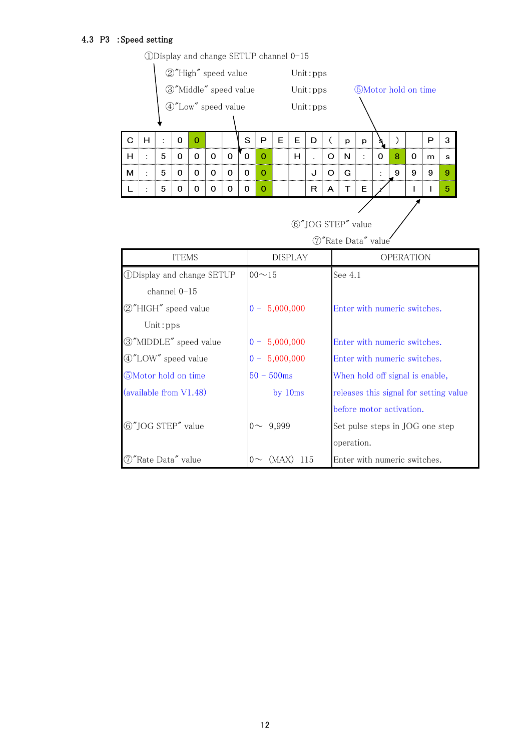# 4.3 P3 :Speed setting

|   | 2"High" speed value<br>3"Middle" speed value |          |                                     |          |                                  |                     |          |                |       |                                    | Unit: pps                    |                |                          |   |   |                            |   |                                        |   |  |
|---|----------------------------------------------|----------|-------------------------------------|----------|----------------------------------|---------------------|----------|----------------|-------|------------------------------------|------------------------------|----------------|--------------------------|---|---|----------------------------|---|----------------------------------------|---|--|
|   |                                              |          |                                     |          |                                  |                     |          |                |       |                                    | Unit: pps                    |                |                          |   |   | <b>5Motor</b> hold on time |   |                                        |   |  |
|   |                                              |          |                                     |          |                                  | 4 "Low" speed value |          |                |       |                                    | Unit: pps                    |                |                          |   |   |                            |   |                                        |   |  |
|   |                                              |          |                                     |          |                                  |                     |          |                |       |                                    |                              |                |                          |   |   |                            |   |                                        |   |  |
| C | H                                            | ÷        | $\mathbf 0$                         | $\Omega$ |                                  |                     | S        | P              | E     | E                                  | D                            | $\overline{C}$ | p                        | p |   | $\mathcal{L}$              |   | $\mathsf{P}$                           | 3 |  |
| н |                                              | 5        | 0                                   | 0        | $\mathbf 0$                      | $\mathbf 0$         | $\Omega$ | $\mathbf{0}$   |       | H                                  |                              | $\circ$        | N                        | ÷ | 0 | 8                          | 0 | m                                      | s |  |
| М | ÷                                            | 5        | 0                                   | 0        | 0                                | $\mathbf 0$         | $\Omega$ | $\mathbf{O}$   |       |                                    | J                            | $\circ$        | G                        |   | ÷ | 9                          | 9 | 9                                      | 9 |  |
| L |                                              | 5        | 0                                   | 0        | 0                                | 0                   | 0        | $\mathbf{O}$   |       |                                    | R                            | A              | T                        | Е |   |                            | 1 | $\mathbf{1}$                           | 5 |  |
|   |                                              |          |                                     |          |                                  |                     |          |                |       |                                    |                              |                |                          |   |   |                            |   |                                        |   |  |
|   |                                              |          |                                     |          |                                  |                     |          |                |       |                                    |                              |                | 6"JOG STEP" value        |   |   |                            |   |                                        |   |  |
|   |                                              |          |                                     |          |                                  |                     |          |                |       |                                    |                              |                | 7"Rate Data" value       |   |   |                            |   |                                        |   |  |
|   |                                              |          | <b>ITEMS</b>                        |          |                                  |                     |          |                |       | <b>OPERATION</b><br><b>DISPLAY</b> |                              |                |                          |   |   |                            |   |                                        |   |  |
|   |                                              |          |                                     |          | <b>ODisplay and change SETUP</b> |                     |          | $00 - 15$      |       |                                    |                              |                | See 4.1                  |   |   |                            |   |                                        |   |  |
|   |                                              |          | channel 0-15                        |          |                                  |                     |          |                |       |                                    |                              |                |                          |   |   |                            |   |                                        |   |  |
|   |                                              |          | 2"HIGH" speed value                 |          |                                  |                     |          |                |       | $0 - 5,000,000$                    | Enter with numeric switches. |                |                          |   |   |                            |   |                                        |   |  |
|   |                                              | Unit:pps |                                     |          |                                  |                     |          |                |       |                                    |                              |                |                          |   |   |                            |   |                                        |   |  |
|   |                                              |          |                                     |          | 3"MIDDLE" speed value            |                     |          |                |       | $0 - 5,000,000$                    |                              |                |                          |   |   |                            |   | Enter with numeric switches.           |   |  |
|   |                                              |          | 4"LOW" speed value                  |          |                                  |                     |          |                |       | $0 - 5,000,000$                    |                              |                |                          |   |   |                            |   | Enter with numeric switches.           |   |  |
|   |                                              |          | 5Motor hold on time                 |          |                                  |                     |          | $50 - 500$ ms  |       |                                    |                              |                |                          |   |   |                            |   | When hold off signal is enable,        |   |  |
|   |                                              |          | (available from V1.48)              |          |                                  |                     |          |                |       | by 10ms                            |                              |                |                          |   |   |                            |   | releases this signal for setting value |   |  |
|   |                                              |          |                                     |          |                                  |                     |          |                |       |                                    |                              |                | before motor activation. |   |   |                            |   |                                        |   |  |
|   |                                              |          | 6"JOG STEP" value                   |          |                                  |                     |          | $0 \sim 9,999$ |       |                                    |                              |                |                          |   |   |                            |   | Set pulse steps in JOG one step        |   |  |
|   |                                              |          |                                     |          |                                  |                     |          |                |       |                                    |                              |                | operation.               |   |   |                            |   |                                        |   |  |
|   |                                              |          | $\textcircled{7}$ "Rate Data" value |          |                                  |                     |          | $0\infty$      | (MAX) |                                    | 115                          |                |                          |   |   |                            |   | Enter with numeric switches.           |   |  |

①Display and change SETUP channel 0-15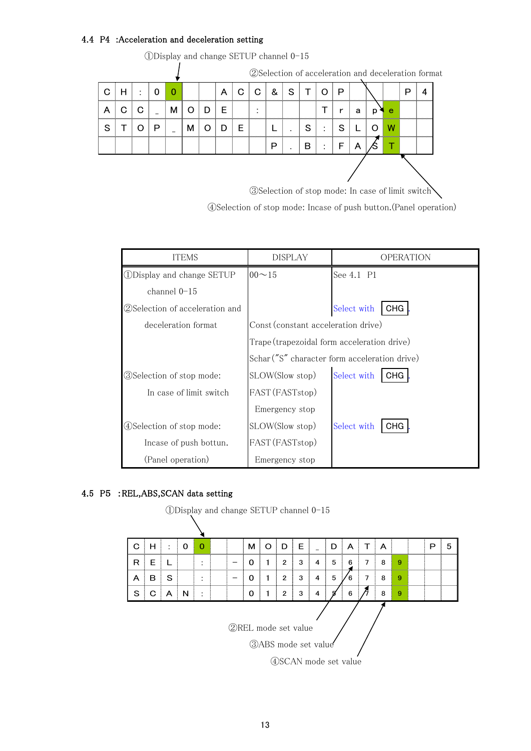### 4.4 P4 :Acceleration and deceleration setting

|   |   |   |   |   |   |   |   |   |   |           |   |   | 2Selection of acceleration and deceleration format |  |  |
|---|---|---|---|---|---|---|---|---|---|-----------|---|---|----------------------------------------------------|--|--|
|   | ٠ | O | O |   | А |   | & | S |   |           | D |   |                                                    |  |  |
| А |   |   | м |   | F |   |   |   |   |           |   | a | е                                                  |  |  |
| S |   | ш |   | м |   | ⊢ |   |   | S | $\bullet$ |   |   |                                                    |  |  |
|   |   |   |   |   |   |   | Р |   | B |           |   | A |                                                    |  |  |
|   |   |   |   |   |   |   |   |   |   |           |   |   |                                                    |  |  |

(DDisplay and change SETUP channel  $0-15$ 

 $\textcircled{\textbf{3}}\mathsf{Selection} \text{ of stop mode: In case of limit switch} \textcolor{red}{\bigwedge}$ 

④Selection of stop mode: Incase of push button.(Panel operation)

| ITEMS                                          | <b>DISPLAY</b>                              | OPERATION                                     |
|------------------------------------------------|---------------------------------------------|-----------------------------------------------|
| <b><i><u>DDisplay and change SETUP</u></i></b> | $00 \sim 15$                                | See 4.1 P1                                    |
| channel $0-15$                                 |                                             |                                               |
| (2) Selection of acceleration and              |                                             | Select with<br><b>CHG</b>                     |
| deceleration format                            | Const (constant acceleration drive)         |                                               |
|                                                | Trape (trapezoidal form acceleration drive) |                                               |
|                                                |                                             | Schar ("S" character form acceleration drive) |
| 3) Selection of stop mode:                     | SLOW(Slow stop)                             | Select with<br><b>CHG</b>                     |
| In case of limit switch                        | FAST (FASTstop)                             |                                               |
|                                                | Emergency stop                              |                                               |
| 4) Selection of stop mode:                     | SLOW(Slow stop)                             | Select with<br><b>CHG</b>                     |
| Incase of push bottun.                         | FAST (FASTstop)                             |                                               |
| (Panel operation)                              | Emergency stop                              |                                               |

## 4.5 P5 :REL,ABS,SCAN data setting

①Display and change SETUP channel 0-15

| C               | н | ٠<br>÷. | 0 | 0       |  | м | O | D              | E.                                                                                  |   | D | A | т     | A |   | P | 5 |
|-----------------|---|---------|---|---------|--|---|---|----------------|-------------------------------------------------------------------------------------|---|---|---|-------|---|---|---|---|
| R<br>********** | Е |         |   |         |  | Ω |   | $\overline{2}$ | 3                                                                                   | 4 | 5 | 6 | 7<br> | 8 | 9 |   |   |
| A               | в | S       |   | ٠<br>۰. |  | 0 |   | $\overline{2}$ | 3                                                                                   | 4 | 5 | 6 | 7     | 8 | 9 |   |   |
| S               | C | A       | N | ٠<br>۰. |  | 0 |   | $\overline{2}$ | 3                                                                                   | 4 |   | 6 |       | 8 | 9 |   |   |
|                 |   |         |   |         |  |   |   |                | <b>2</b> REL mode set value<br><b>3ABS</b> mode set value<br>4) SCAN mode set value |   |   |   |       |   |   |   |   |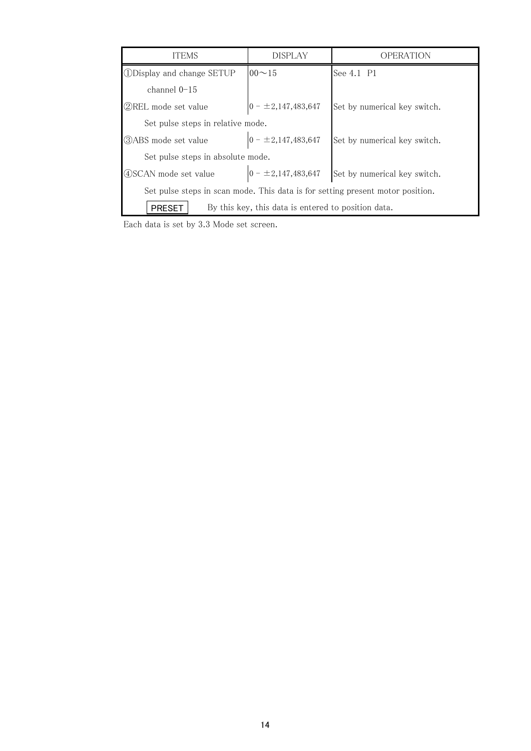| <b>ITEMS</b>                                                                     | <b>DISPLAY</b>                                      | OPERATION                    |  |  |  |  |  |  |  |  |
|----------------------------------------------------------------------------------|-----------------------------------------------------|------------------------------|--|--|--|--|--|--|--|--|
| <b>ODisplay and change SETUP</b>                                                 | $00 - 15$                                           | See 4.1 P1                   |  |  |  |  |  |  |  |  |
| channel $0-15$                                                                   |                                                     |                              |  |  |  |  |  |  |  |  |
| <b>2</b> REL mode set value                                                      | $0 - \pm 2,147,483,647$                             | Set by numerical key switch. |  |  |  |  |  |  |  |  |
| Set pulse steps in relative mode.                                                |                                                     |                              |  |  |  |  |  |  |  |  |
| <b>3</b> ABS mode set value                                                      | $0 - \pm 2,147,483,647$                             | Set by numerical key switch. |  |  |  |  |  |  |  |  |
| Set pulse steps in absolute mode.                                                |                                                     |                              |  |  |  |  |  |  |  |  |
| $0 - \pm 2,147,483,647$<br>4 SCAN mode set value<br>Set by numerical key switch. |                                                     |                              |  |  |  |  |  |  |  |  |
| Set pulse steps in scan mode. This data is for setting present motor position.   |                                                     |                              |  |  |  |  |  |  |  |  |
| <b>PRESET</b>                                                                    | By this key, this data is entered to position data. |                              |  |  |  |  |  |  |  |  |

Each data is set by 3.3 Mode set screen.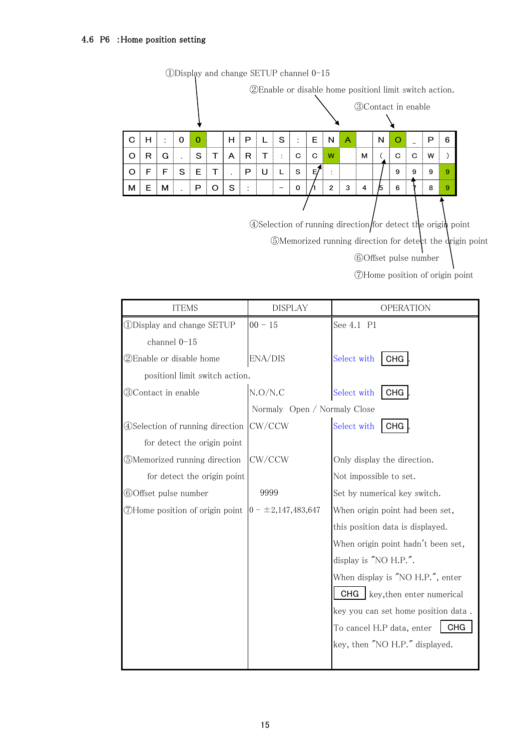#### 4.6 P6 :Home position setting

|   |   |   |              |          |   |         |   |   |   |          | 2 Enable or disable home positionl limit switch action. |                    |   |                             |    |            |   |   |   |
|---|---|---|--------------|----------|---|---------|---|---|---|----------|---------------------------------------------------------|--------------------|---|-----------------------------|----|------------|---|---|---|
|   |   |   |              |          |   |         |   |   |   |          |                                                         |                    |   | <b>30</b> Contact in enable |    |            |   |   |   |
| C | н | ٠ | $\Omega$     | $\Omega$ |   | н       | Р |   | S | ÷        | E.                                                      | N                  | A |                             | N  | $\epsilon$ |   | Р | 6 |
| O | R | G |              | S        |   | A       | R |   | ÷ | C        | C                                                       | W                  |   | м                           |    | C          | C | W |   |
| O | F | F | $\cdot$<br>S | Е        | т | $\cdot$ | P | U |   | S        | E,                                                      | $\cdot$<br>$\cdot$ |   |                             |    | 9          | 9 | 9 | 9 |
| м | Е | м |              | P        | Ο | S       | ٠ |   |   | $\Omega$ |                                                         | $\overline{2}$     | 3 | 4                           | 15 | 6          |   | 8 | 9 |
|   |   |   |              |          |   |         |   |   |   |          |                                                         |                    |   |                             |    |            |   |   |   |

①Display and change SETUP channel 0-15

④Selection of running direction for detect the origin point ⑤Memorized running direction for detect the origin point

⑥Offset pulse number

⑦Home position of origin point

| <b>ITEMS</b>                            | <b>DISPLAY</b>               | <b>OPERATION</b>                        |  |  |  |  |  |  |
|-----------------------------------------|------------------------------|-----------------------------------------|--|--|--|--|--|--|
| <b><i>ODisplay and change SETUP</i></b> | $00 - 15$                    | See 4.1 P1                              |  |  |  |  |  |  |
| channel 0-15                            |                              |                                         |  |  |  |  |  |  |
| 2Enable or disable home                 | ENA/DIS                      | Select with<br>CHG.                     |  |  |  |  |  |  |
| positionl limit switch action.          |                              |                                         |  |  |  |  |  |  |
| <b>30Contact in enable</b>              | N.O/N.C                      | Select with<br><b>CHG</b>               |  |  |  |  |  |  |
|                                         | Normaly Open / Normaly Close |                                         |  |  |  |  |  |  |
| 4) Selection of running direction       | CW/CCW                       | Select with<br><b>CHG</b>               |  |  |  |  |  |  |
| for detect the origin point             |                              |                                         |  |  |  |  |  |  |
| 5Memorized running direction            | CW/CCW                       | Only display the direction.             |  |  |  |  |  |  |
| for detect the origin point             |                              | Not impossible to set.                  |  |  |  |  |  |  |
| 60ffset pulse number                    | 9999                         | Set by numerical key switch.            |  |  |  |  |  |  |
| 7Home position of origin point          | $0 - \pm 2,147,483,647$      | When origin point had been set,         |  |  |  |  |  |  |
|                                         |                              | this position data is displayed.        |  |  |  |  |  |  |
|                                         |                              | When origin point hadn't been set,      |  |  |  |  |  |  |
|                                         |                              | display is "NO H.P.".                   |  |  |  |  |  |  |
|                                         |                              | When display is "NO H.P.", enter        |  |  |  |  |  |  |
|                                         |                              | key, then enter numerical<br>CHG        |  |  |  |  |  |  |
|                                         |                              | key you can set home position data.     |  |  |  |  |  |  |
|                                         |                              | To cancel H.P data, enter<br><b>CHG</b> |  |  |  |  |  |  |
|                                         |                              | key, then "NO H.P." displayed.          |  |  |  |  |  |  |
|                                         |                              |                                         |  |  |  |  |  |  |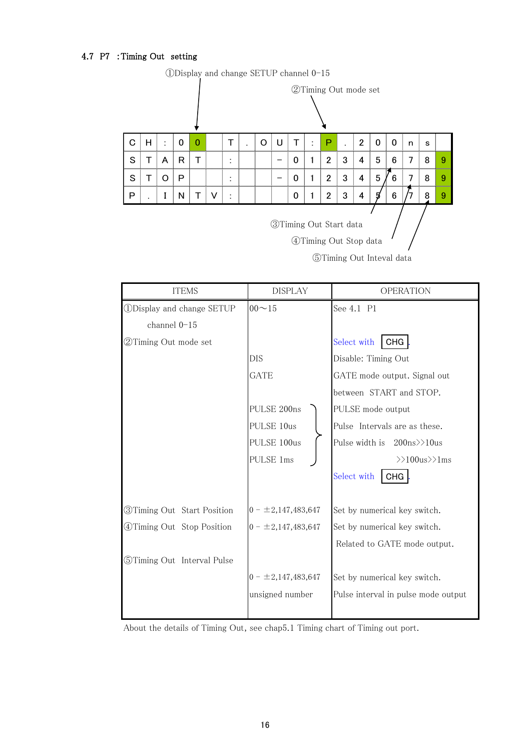#### 4.7 P7 :Timing Out setting

|   |                                                          |   |                                                                                        |   |   |                                                                  |  | $\mathcal{L}$ |  |   |  |                      |   |   |   |   |  |   |   |
|---|----------------------------------------------------------|---|----------------------------------------------------------------------------------------|---|---|------------------------------------------------------------------|--|---------------|--|---|--|----------------------|---|---|---|---|--|---|---|
|   |                                                          |   |                                                                                        |   |   |                                                                  |  |               |  |   |  | 2Timing Out mode set |   |   |   |   |  |   |   |
| C | н                                                        | t | $\overline{2}$<br>$\Omega$<br>U<br>Р<br>0<br>т<br>0<br>Т<br>0<br>O<br>٠<br>s<br>n<br>٠ |   |   |                                                                  |  |               |  |   |  |                      |   |   |   |   |  |   |   |
| S | т                                                        | A | R                                                                                      | Т |   | 3<br>5<br>$\overline{2}$<br>4<br>6<br>8<br>7<br>0<br>٠<br>٠      |  |               |  |   |  |                      |   |   |   |   |  |   | 9 |
| S | т                                                        | O | Р                                                                                      |   |   | 3<br>5<br>$\overline{2}$<br>4<br>6<br>7<br>8<br>9<br>0<br>٠<br>٠ |  |               |  |   |  |                      |   |   |   |   |  |   |   |
| Р |                                                          | I | Ν                                                                                      |   | V | ٠<br>$\mathbf{r}$                                                |  |               |  | 0 |  | 2                    | 3 | 4 | 5 | 6 |  | 8 | 9 |
|   | <b>3</b> Timing Out Start data<br>4)Timing Out Stop data |   |                                                                                        |   |   |                                                                  |  |               |  |   |  |                      |   |   |   |   |  |   |   |

①Display and change SETUP channel 0-15

⑤Timing Out Inteval data

| <b>ITEMS</b>                            | <b>DISPLAY</b>          | <b>OPERATION</b>                                 |
|-----------------------------------------|-------------------------|--------------------------------------------------|
| <b><i>ODisplay and change SETUP</i></b> | $00 - 15$               | See 4.1 P1                                       |
| channel 0-15                            |                         |                                                  |
| 2Timing Out mode set                    |                         | Select with<br><b>CHG</b>                        |
|                                         | DIS                     | Disable: Timing Out                              |
|                                         | <b>GATE</b>             | GATE mode output. Signal out                     |
|                                         |                         | between START and STOP.                          |
|                                         | PULSE 200ns             | PULSE mode output                                |
|                                         | PULSE 10us              | Pulse Intervals are as these.                    |
|                                         | PULSE 100us             | Pulse width is $200 \text{ns} \geq 10 \text{us}$ |
|                                         | PULSE 1ms               | $\gg 100$ us $\gg 1$ ms                          |
|                                         |                         | Select with<br><b>CHG</b>                        |
|                                         |                         |                                                  |
| <b>3Timing Out Start Position</b>       | $0 - \pm 2,147,483,647$ | Set by numerical key switch.                     |
| <b>4</b> Timing Out Stop Position       | $0 - \pm 2,147,483,647$ | Set by numerical key switch.                     |
|                                         |                         | Related to GATE mode output.                     |
| 5Timing Out Interval Pulse              |                         |                                                  |
|                                         | $0 - \pm 2,147,483,647$ | Set by numerical key switch.                     |
|                                         | unsigned number         | Pulse interval in pulse mode output              |
|                                         |                         |                                                  |

About the details of Timing Out, see chap5.1 Timing chart of Timing out port.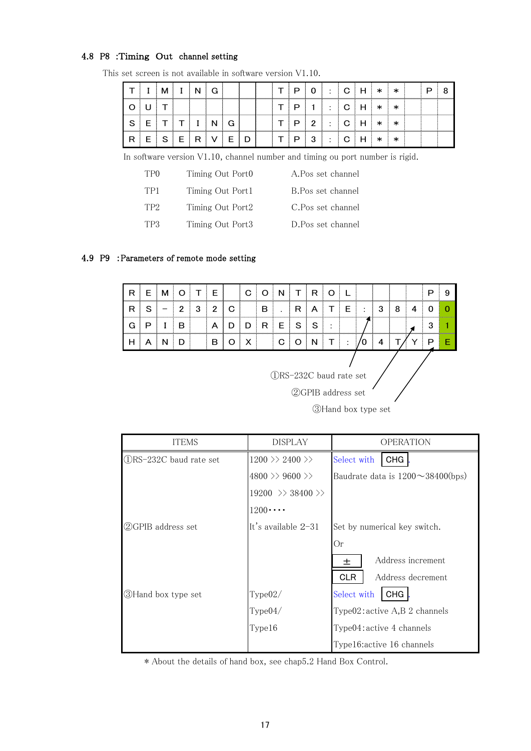#### 4.8 P8 :Timing Out channel setting

|  |  |  |  |  | $\Omega$ | $\overline{\phantom{a}}$            |  | J |   |  |  |
|--|--|--|--|--|----------|-------------------------------------|--|---|---|--|--|
|  |  |  |  |  |          | $\overline{\phantom{a}}$<br>$\cdot$ |  | s | ж |  |  |
|  |  |  |  |  | ∩        | $\overline{\phantom{a}}$<br>. .     |  | s |   |  |  |
|  |  |  |  |  | ົ        |                                     |  |   |   |  |  |

This set screen is not available in software version V1.10.

In software version V1.10, channel number and timing ou port number is rigid.

| TP <sub>0</sub> | Timing Out Port0 | A.Pos set channel  |
|-----------------|------------------|--------------------|
| TP1             | Timing Out Port1 | B. Pos set channel |
| TP <sub>2</sub> | Timing Out Port2 | C.Pos set channel  |
| TP3             | Timing Out Port3 | D.Pos set channel  |

#### 4.9 P9 :Parameters of remote mode setting

| R | ⊏      |   |   |   | F | ⌒<br>ب |        |    |   | ⊓ |                |                |   |  |  |
|---|--------|---|---|---|---|--------|--------|----|---|---|----------------|----------------|---|--|--|
| R | c<br>c | - |   | ◠ |   |        | ┍<br>p |    | ∍ |   | ⊢              | $\blacksquare$ | w |  |  |
| ٦ | רז     |   | в |   |   |        | R      | E. | S |   |                |                |   |  |  |
|   |        |   |   |   |   |        |        |    |   |   | $\blacksquare$ |                |   |  |  |

①RS-232C baud rate set

②GPIB address set

③Hand box type set

| <b>ITEMS</b>             | <b>DISPLAY</b>                        | <b>OPERATION</b>                                |
|--------------------------|---------------------------------------|-------------------------------------------------|
| (1)RS-232C baud rate set | $1200 \gg 2400 \gg$                   | <b>CHG</b><br>Select with                       |
|                          | $4800 \gg 9600 \gg$                   | Baudrate data is $1200 \sim 38400 \text{(bps)}$ |
|                          | $19200 \Rightarrow 38400 \Rightarrow$ |                                                 |
|                          | $1200 \cdots$                         |                                                 |
| (2)GPIB address set      | It's available $2-31$                 | Set by numerical key switch.                    |
|                          |                                       | Or                                              |
|                          |                                       | Address increment<br>土                          |
|                          |                                       | Address decrement<br><b>CLR</b>                 |
| 3) Hand box type set     | Type02/                               | <b>CHG</b><br>Select with                       |
|                          | Type04/                               | Type02:active A,B2 channels                     |
|                          | Type16                                | Type04: active 4 channels                       |
|                          |                                       | Type16: active 16 channels                      |

\* About the details of hand box, see chap5.2 Hand Box Control.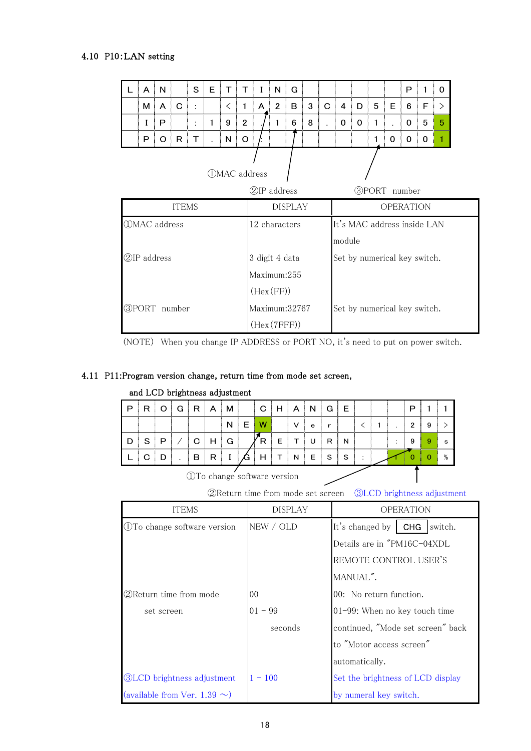#### 4.10 P10:LAN setting

| A                   | N                              |   | S | E | т                   | т              |                | N              | G |   |   |                              |   |   |                  | P |   | 0      |  |  |  |
|---------------------|--------------------------------|---|---|---|---------------------|----------------|----------------|----------------|---|---|---|------------------------------|---|---|------------------|---|---|--------|--|--|--|
| м                   | A                              | C | ÷ |   | $\lt$               | $\mathbf{1}$   | A              | $\overline{2}$ | B | 3 | C | 4                            | D | 5 | E                | 6 | F | $\geq$ |  |  |  |
| I                   | P                              |   | ÷ | 1 | 9                   | $\overline{2}$ | 6<br>8         |                |   |   |   |                              | 0 | 1 |                  | 0 | 5 | 5      |  |  |  |
| P                   | $\circ$                        | R | т |   | N                   | $\circ$        |                |                |   |   |   |                              |   | 1 | 0                | 0 | 0 |        |  |  |  |
|                     |                                |   |   |   | <b>OMAC</b> address |                | 2IP address    |                |   |   |   | <b>3PORT</b> number          |   |   |                  |   |   |        |  |  |  |
|                     | <b>ITEMS</b><br><b>DISPLAY</b> |   |   |   |                     |                |                |                |   |   |   |                              |   |   | <b>OPERATION</b> |   |   |        |  |  |  |
| <b>OMAC</b> address |                                |   |   |   |                     |                | 12 characters  |                |   |   |   | It's MAC address inside LAN  |   |   |                  |   |   |        |  |  |  |
|                     |                                |   |   |   |                     |                |                |                |   |   |   | module                       |   |   |                  |   |   |        |  |  |  |
| 2IP address         |                                |   |   |   |                     |                | 3 digit 4 data |                |   |   |   | Set by numerical key switch. |   |   |                  |   |   |        |  |  |  |
|                     |                                |   |   |   |                     |                | Maximum:255    |                |   |   |   |                              |   |   |                  |   |   |        |  |  |  |
|                     |                                |   |   |   |                     |                | (Hex(FF))      |                |   |   |   |                              |   |   |                  |   |   |        |  |  |  |
| <b>3PORT</b> number |                                |   |   |   |                     |                | Maximum:32767  |                |   |   |   | Set by numerical key switch. |   |   |                  |   |   |        |  |  |  |
|                     |                                |   |   |   |                     |                | (Hex(7FFF))    |                |   |   |   |                              |   |   |                  |   |   |        |  |  |  |

(NOTE) When you change IP ADDRESS or PORT NO, it's need to put on power switch.

#### 4.11 P11:Program version change, return time from mode set screen,

### and LCD brightness adjustment

| רי |  |  | м | C. |   |   |   |           |  |   |  |
|----|--|--|---|----|---|---|---|-----------|--|---|--|
|    |  |  | N |    |   | е |   |           |  |   |  |
|    |  |  |   |    |   |   | N |           |  | 9 |  |
|    |  |  |   |    | N | ⊢ | S | $\bullet$ |  |   |  |

①To change software version

②Return time from mode set screen ③LCD brightness adjustment

| <b>ITEMS</b>                       | DISPLAY        | <b>OPERATION</b>                      |
|------------------------------------|----------------|---------------------------------------|
| <b>T</b> o change software version | NEW / OLD      | It's changed by $\Box$ CHG<br>switch. |
|                                    |                | Details are in "PM16C-04XDL           |
|                                    |                | REMOTE CONTROL USER'S                 |
|                                    |                | MANUAL".                              |
| (2) Return time from mode          | 0 <sub>0</sub> | 00: No return function.               |
| set screen                         | $01 - 99$      | 01-99: When no key touch time         |
|                                    | seconds        | continued, "Mode set screen" back     |
|                                    |                | to "Motor access screen"              |
|                                    |                | automatically.                        |
| <b>3LCD</b> brightness adjustment  | $1 - 100$      | Set the brightness of LCD display     |
| (available from Ver. 1.39 $\sim$ ) |                | by numeral key switch.                |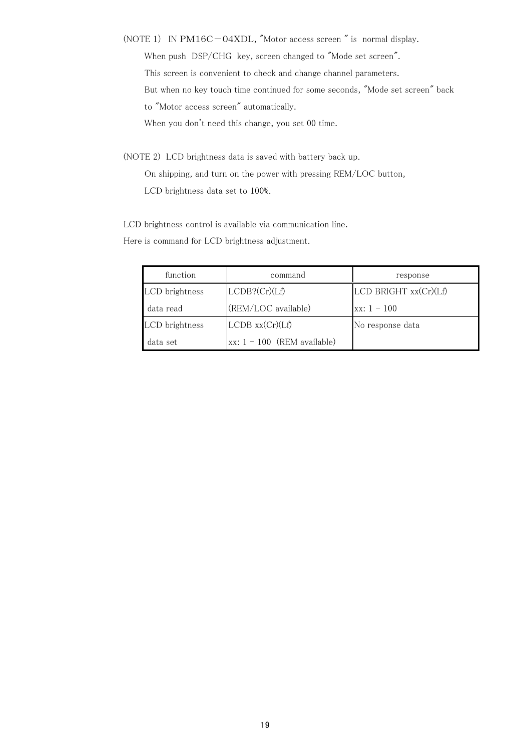- (NOTE 1) IN PM16C-04XDL, "Motor access screen " is normal display. When push DSP/CHG key, screen changed to "Mode set screen". This screen is convenient to check and change channel parameters. But when no key touch time continued for some seconds, "Mode set screen" back to "Motor access screen" automatically. When you don't need this change, you set 00 time.
- (NOTE 2) LCD brightness data is saved with battery back up. On shipping, and turn on the power with pressing REM/LOC button, LCD brightness data set to 100%.

LCD brightness control is available via communication line.

Here is command for LCD brightness adjustment.

| function       | command                       | response              |
|----------------|-------------------------------|-----------------------|
| LCD brightness | LCDB? (Cr)(Lf)                | LCD BRIGHT xx(Cr)(Lf) |
| data read      | (REM/LOC available)           | $xx: 1 - 100$         |
| LCD brightness | $LCDB$ $xx(Cr)(Lf)$           | No response data      |
| data set       | $xx: 1 - 100$ (REM available) |                       |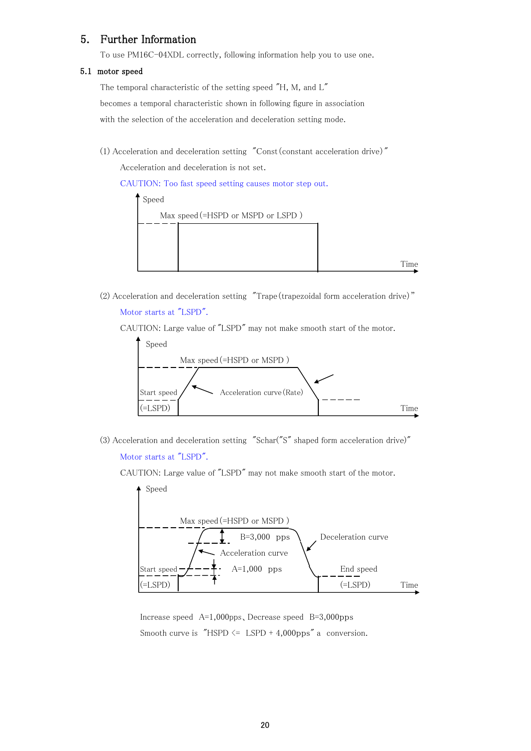## 5. Further Information

To use PM16C-04XDL correctly, following information help you to use one.

#### 5.1 motor speed

The temporal characteristic of the setting speed "H, M, and L" becomes a temporal characteristic shown in following figure in association with the selection of the acceleration and deceleration setting mode.

(1) Acceleration and deceleration setting  $"Const$  (constant acceleration drive)"

Acceleration and deceleration is not set.

CAUTION: Too fast speed setting causes motor step out.



(2) Acceleration and deceleration setting "Trape(trapezoidal form acceleration drive)"

#### Motor starts at "LSPD".

CAUTION: Large value of "LSPD" may not make smooth start of the motor.



(3) Acceleration and deceleration setting "Schar("S" shaped form acceleration drive)"

Motor starts at "LSPD".

CAUTION: Large value of "LSPD" may not make smooth start of the motor.



Increase speed A=1,000pps、Decrease speed B=3,000pps Smooth curve is "HSPD  $\leq$  LSPD + 4,000pps" a conversion.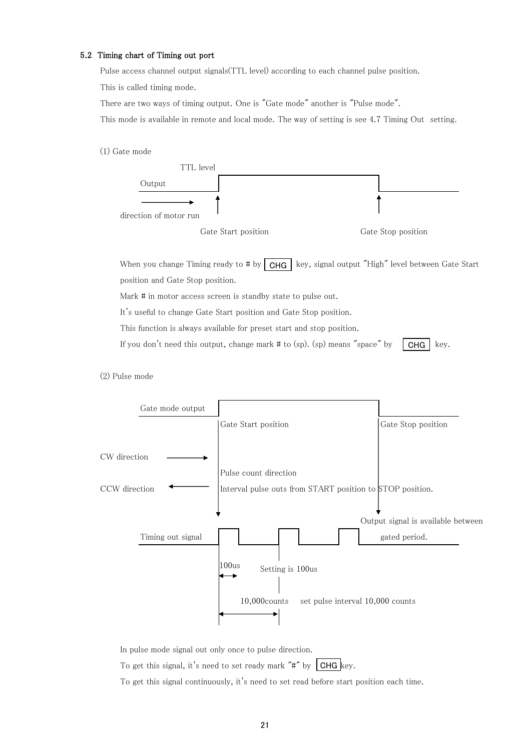#### 5.2 Timing chart of Timing out port

Pulse access channel output signals(TTL level) according to each channel pulse position. This is called timing mode.

There are two ways of timing output. One is "Gate mode" another is "Pulse mode".

This mode is available in remote and local mode. The way of setting is see 4.7 Timing Out setting.

(1) Gate mode



When you change Timing ready to # by  $\mid$  CHG  $\mid$  key, signal output "High" level between Gate Start position and Gate Stop position.

Mark # in motor access screen is standby state to pulse out.

It's useful to change Gate Start position and Gate Stop position.

This function is always available for preset start and stop position.

If you don't need this output, change mark  $\#$  to (sp). (sp) means "space" by CHG  $\vert$  key.

(2) Pulse mode



In pulse mode signal out only once to pulse direction.

To get this signal, it's need to set ready mark "#" by  $\mid$  CHG  $\mid$  key.

To get this signal continuously, it's need to set read before start position each time.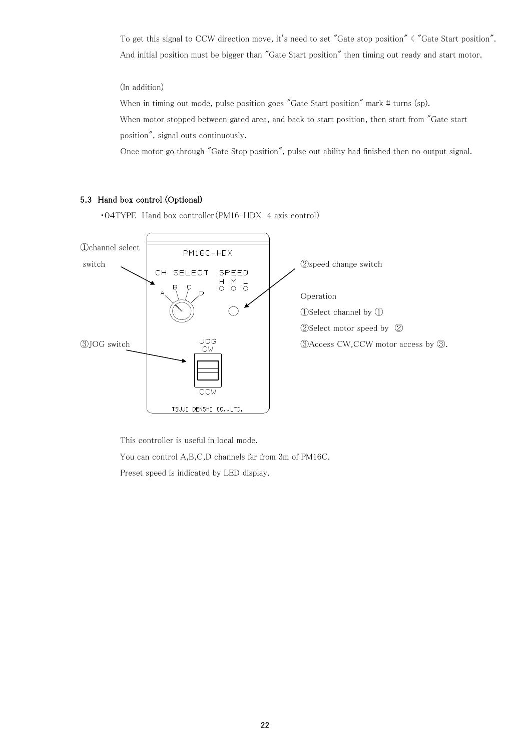To get this signal to CCW direction move, it's need to set "Gate stop position" < "Gate Start position". And initial position must be bigger than "Gate Start position" then timing out ready and start motor.

(In addition)

When in timing out mode, pulse position goes "Gate Start position" mark # turns (sp). When motor stopped between gated area, and back to start position, then start from "Gate start position", signal outs continuously.

Once motor go through "Gate Stop position", pulse out ability had finished then no output signal.

#### 5.3 Hand box control (Optional)

・04TYPE Hand box controller(PM16-HDX 4 axis control)



This controller is useful in local mode.

You can control A,B,C,D channels far from 3m of PM16C.

Preset speed is indicated by LED display.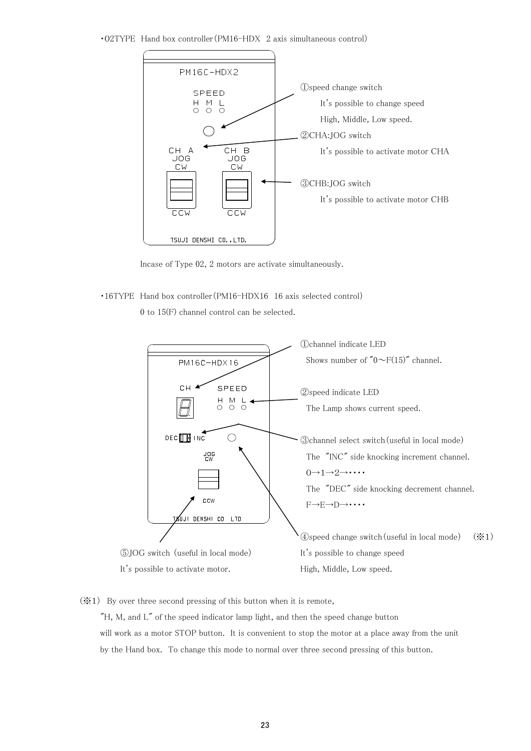・02TYPE Hand box controller(PM16-HDX 2 axis simultaneous control)



Incase of Type 02, 2 motors are activate simultaneously.

・16TYPE Hand box controller(PM16-HDX16 16 axis selected control)

0 to 15(F) channel control can be selected.



 $(\mathbf{\times}1)$  By over three second pressing of this button when it is remote,

 $H$ , M, and  $L''$  of the speed indicator lamp light, and then the speed change button will work as a motor STOP button. It is convenient to stop the motor at a place away from the unit by the Hand box. To change this mode to normal over three second pressing of this button.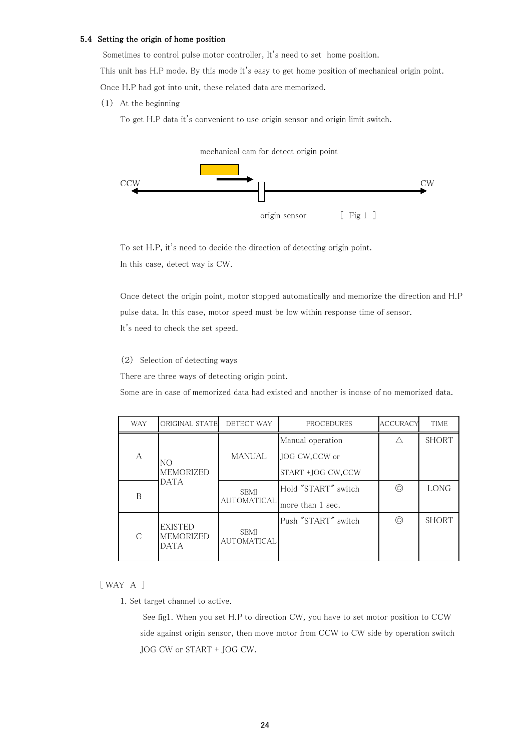#### 5.4 Setting the origin of home position

Sometimes to control pulse motor controller, It's need to set home position.

This unit has H.P mode. By this mode it's easy to get home position of mechanical origin point. Once H.P had got into unit, these related data are memorized.

(1) At the beginning

To get H.P data it's convenient to use origin sensor and origin limit switch.



To set H.P, it's need to decide the direction of detecting origin point. In this case, detect way is CW.

Once detect the origin point, motor stopped automatically and memorize the direction and H.P pulse data. In this case, motor speed must be low within response time of sensor. It's need to check the set speed.

(2) Selection of detecting ways

There are three ways of detecting origin point.

Some are in case of memorized data had existed and another is incase of no memorized data.

| <b>WAY</b> | ORIGINAL STATE                                    | DETECT WAY                        | PROCEDURES          | <b>ACCURACY</b> | <b>TIME</b>  |
|------------|---------------------------------------------------|-----------------------------------|---------------------|-----------------|--------------|
|            |                                                   |                                   | Manual operation    |                 | <b>SHORT</b> |
| A          | NO                                                | <b>MANUAL</b>                     | JOG CW, CCW or      |                 |              |
|            | <b>MEMORIZED</b>                                  |                                   | ISTART +IOG CW.CCW  |                 |              |
| B          | <b>DATA</b>                                       | <b>SEMI</b>                       | Hold "START" switch | ⊚               | <b>LONG</b>  |
|            |                                                   | <b>AUTOMATICAL</b>                | more than 1 sec.    |                 |              |
| $\subset$  | <b>EXISTED</b><br><b>MEMORIZED</b><br><b>DATA</b> | <b>SEMI</b><br><b>AUTOMATICAL</b> | Push "START" switch | ⊚               | <b>SHORT</b> |

#### [ WAY A ]

1. Set target channel to active.

 See fig1. When you set H.P to direction CW, you have to set motor position to CCW side against origin sensor, then move motor from CCW to CW side by operation switch JOG CW or START + JOG CW.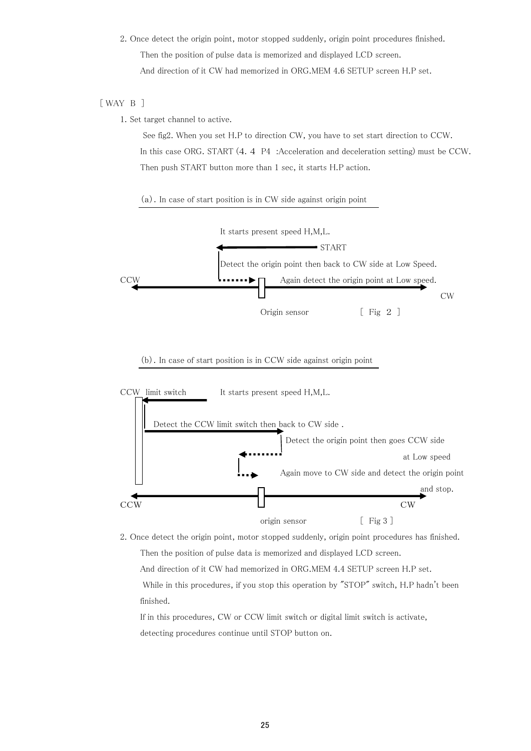2. Once detect the origin point, motor stopped suddenly, origin point procedures finished. Then the position of pulse data is memorized and displayed LCD screen. And direction of it CW had memorized in ORG.MEM 4.6 SETUP screen H.P set.

#### [ WAY B ]

1. Set target channel to active.

 See fig2. When you set H.P to direction CW, you have to set start direction to CCW. In this case ORG. START (4.4 P4 :Acceleration and deceleration setting) must be CCW. Then push START button more than 1 sec, it starts H.P action.

#### (a).In case of start position is in CW side against origin point



#### (b).In case of start position is in CCW side against origin point



2. Once detect the origin point, motor stopped suddenly, origin point procedures has finished. Then the position of pulse data is memorized and displayed LCD screen. And direction of it CW had memorized in ORG.MEM 4.4 SETUP screen H.P set.

While in this procedures, if you stop this operation by "STOP" switch, H.P hadn't been finished.

If in this procedures, CW or CCW limit switch or digital limit switch is activate, detecting procedures continue until STOP button on.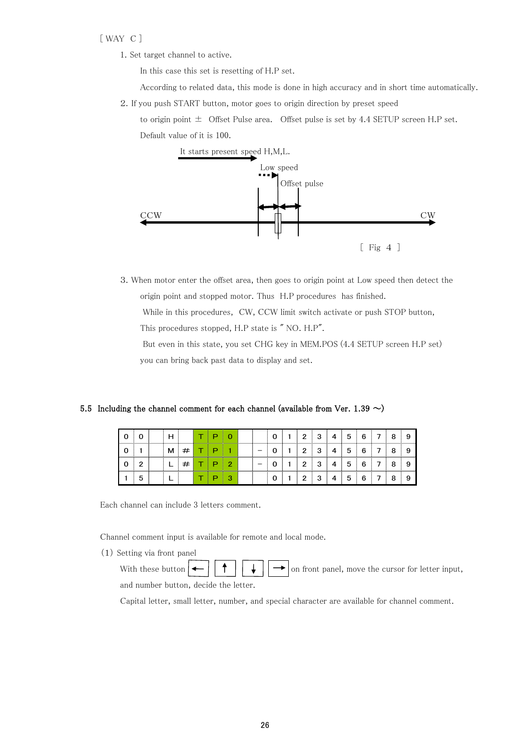#### [ WAY C ]

1. Set target channel to active.

In this case this set is resetting of H.P set.

According to related data, this mode is done in high accuracy and in short time automatically.

2.If you push START button, motor goes to origin direction by preset speed

to origin point  $\pm$  Offset Pulse area. Offset pulse is set by 4.4 SETUP screen H.P set. Default value of it is 100.



3.When motor enter the offset area, then goes to origin point at Low speed then detect the origin point and stopped motor. Thus H.P procedures has finished.

While in this procedures, CW, CCW limit switch activate or push STOP button,

This procedures stopped, H.P state is " NO. H.P".

 But even in this state, you set CHG key in MEM.POS (4.4 SETUP screen H.P set) you can bring back past data to display and set.

#### 5.5 Including the channel comment for each channel (available from Ver. 1.39  $\sim$ )

|   |  |  |  |  |  | ◠ | 3 | 4 | b |  |  |
|---|--|--|--|--|--|---|---|---|---|--|--|
|   |  |  |  |  |  | ◠ | з | 4 | b |  |  |
| o |  |  |  |  |  | ◠ | 3 | 4 | G |  |  |
| ື |  |  |  |  |  | c | з | 4 | ১ |  |  |

Each channel can include 3 letters comment.

Channel comment input is available for remote and local mode.

(1) Setting via front panel

With these button  $\left|\leftarrow\right| \left|\leftarrow\right|$   $\left|\leftarrow\right|$  on front panel, move the cursor for letter input, and number button, decide the letter.

Capital letter, small letter, number, and special character are available for channel comment.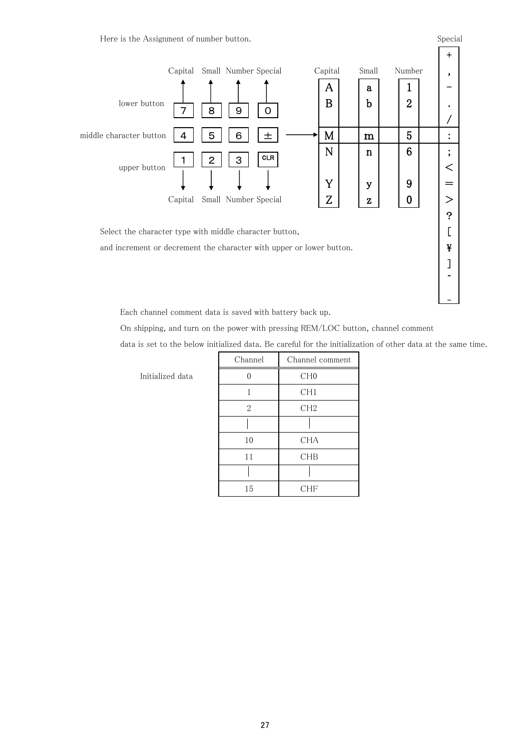Here is the Assignment of number button. Special states are seen as special states of  $S$  pecial states of  $S$ 



Each channel comment data is saved with battery back up.

On shipping, and turn on the power with pressing REM/LOC button, channel comment

data is set to the below initialized data. Be careful for the initialization of other data at the same time.

|     | Channel        | Channel comment |
|-----|----------------|-----------------|
| ata | ∩              | CH <sub>0</sub> |
|     | 1              | CH1             |
|     | $\overline{2}$ | CH2             |
|     |                |                 |
|     | 10             | <b>CHA</b>      |
|     | 11             | CHB             |
|     |                |                 |
|     | 15             | <b>CHF</b>      |

Initialized da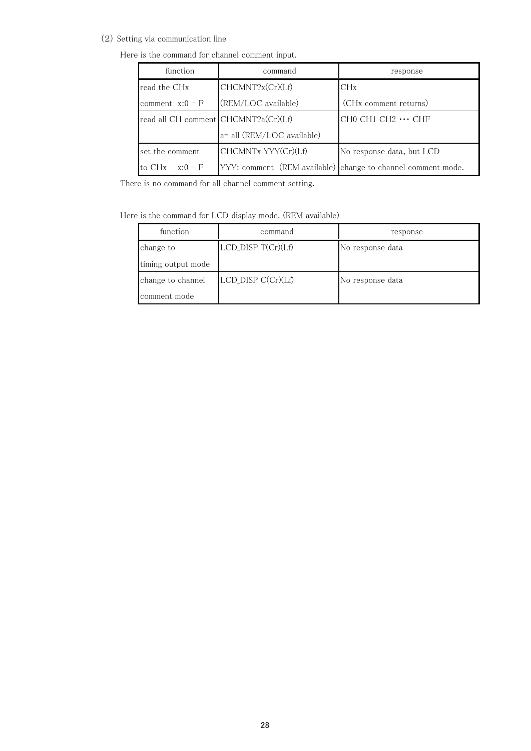(2) Setting via communication line

Here is the command for channel comment input.

| function                             | command                    | response                                                     |  |
|--------------------------------------|----------------------------|--------------------------------------------------------------|--|
| read the CH <sub>x</sub>             | CHCMNT?x(Cr)(Lf)           | CHx                                                          |  |
| comment $x:0-F$                      | (REM/LOC available)        | (CH <sub>x</sub> comment returns)                            |  |
| read all CH comment CHCMNT?a(Cr)(Lf) |                            | $CH0 CH1 CH2 \cdots CHF$                                     |  |
|                                      | a= all (REM/LOC available) |                                                              |  |
| set the comment                      | CHCMNTx YYY(Cr)(Lf)        | No response data, but LCD                                    |  |
| to CH <sub>x</sub><br>$x:0-F$        |                            | YYY: comment (REM available) change to channel comment mode. |  |

There is no command for all channel comment setting.

Here is the command for LCD display mode. (REM available)

| function           | command              | response         |
|--------------------|----------------------|------------------|
| change to          | LCD_DISP T(Cr)(Lf)   | No response data |
| timing output mode |                      |                  |
| change to channel  | $LCD_DISP C(Cr)(Lf)$ | No response data |
| comment mode       |                      |                  |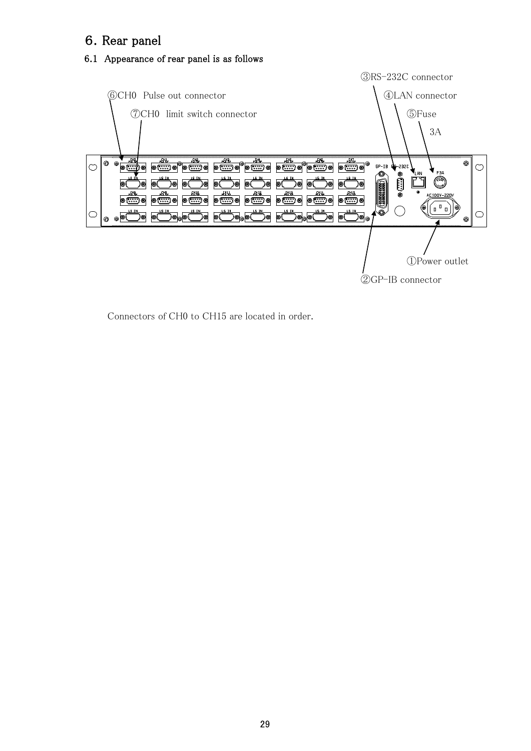# 6.Rear panel

# 6.1 Appearance of rear panel is as follows



Connectors of CH0 to CH15 are located in order.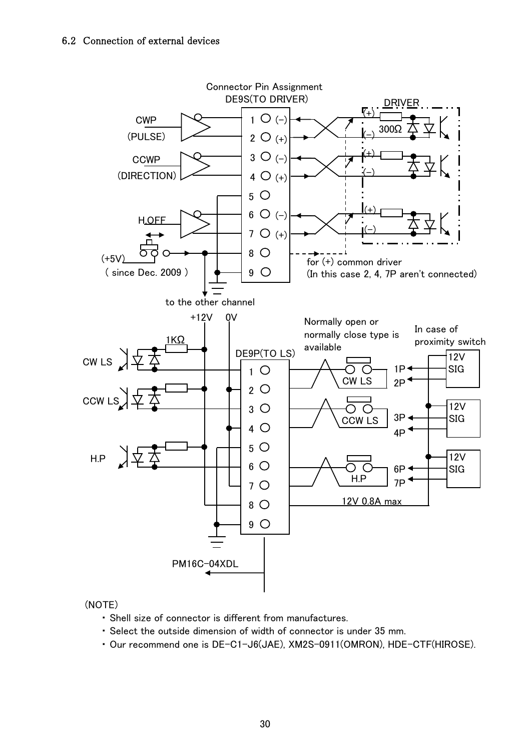

### (NOTE)

- ・ Shell size of connector is different from manufactures.
- ・ Select the outside dimension of width of connector is under 35 mm.
- ・ Our recommend one is DE-C1-J6(JAE), XM2S-0911(OMRON), HDE-CTF(HIROSE).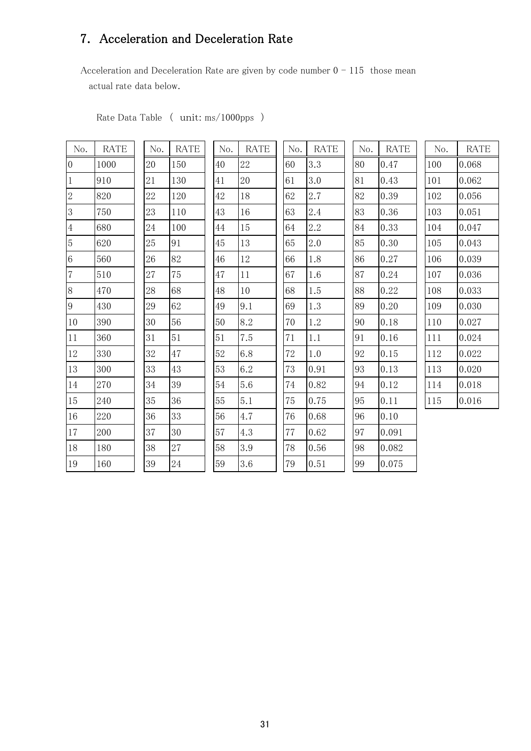# 7. Acceleration and Deceleration Rate

Acceleration and Deceleration Rate are given by code number  $0 - 115$  those mean actual rate data below.

| No.            | <b>RATE</b> | No.    | <b>RATE</b> | No.    | <b>RATE</b> | No.    | <b>RATE</b> | No. | <b>RATE</b> | No. | <b>RATE</b> |
|----------------|-------------|--------|-------------|--------|-------------|--------|-------------|-----|-------------|-----|-------------|
| $\overline{0}$ | 1000        | 20     | 150         | 40     | 22          | 60     | 3.3         | 80  | 0.47        | 100 | 0.068       |
| 1              | 910         | 21     | 130         | 41     | 20          | 61     | 3.0         | 81  | 0.43        | 101 | 0.062       |
| $\overline{2}$ | 820         | 22     | 120         | 42     | 18          | 62     | 2.7         | 82  | 0.39        | 102 | 0.056       |
| 3              | 750         | 23     | 110         | 43     | 16          | 63     | 2.4         | 83  | 0.36        | 103 | 0.051       |
| 4              | 680         | 24     | 100         | 44     | 15          | 64     | 2.2         | 84  | 0.33        | 104 | 0.047       |
| 5              | 620         | $25\,$ | 91          | 45     | 13          | 65     | 2.0         | 85  | 0.30        | 105 | 0.043       |
| 6              | 560         | 26     | 82          | 46     | 12          | 66     | 1.8         | 86  | 0.27        | 106 | 0.039       |
| $\overline{7}$ | 510         | 27     | 75          | 47     | 11          | 67     | 1.6         | 87  | 0.24        | 107 | 0.036       |
| 8              | 470         | 28     | 68          | 48     | $10\,$      | 68     | 1.5         | 88  | 0.22        | 108 | 0.033       |
| 9              | 430         | 29     | 62          | 49     | 9.1         | 69     | 1.3         | 89  | 0.20        | 109 | 0.030       |
| 10             | 390         | 30     | 56          | 50     | 8.2         | 70     | 1.2         | 90  | 0.18        | 110 | 0.027       |
| 11             | 360         | 31     | $51\,$      | $51\,$ | 7.5         | $71\,$ | 1.1         | 91  | 0.16        | 111 | 0.024       |
| 12             | 330         | 32     | 47          | 52     | 6.8         | 72     | 1.0         | 92  | 0.15        | 112 | 0.022       |
| 13             | 300         | 33     | 43          | 53     | 6.2         | 73     | 0.91        | 93  | 0.13        | 113 | 0.020       |
| 14             | 270         | 34     | 39          | 54     | 5.6         | 74     | 0.82        | 94  | 0.12        | 114 | 0.018       |
| 15             | 240         | 35     | 36          | 55     | 5.1         | 75     | 0.75        | 95  | 0.11        | 115 | 0.016       |
| 16             | 220         | 36     | 33          | 56     | 4.7         | 76     | 0.68        | 96  | 0.10        |     |             |
| 17             | 200         | 37     | 30          | 57     | 4.3         | 77     | 0.62        | 97  | 0.091       |     |             |
| 18             | 180         | 38     | 27          | 58     | 3.9         | 78     | 0.56        | 98  | 0.082       |     |             |
| 19             | 160         | 39     | 24          | 59     | 3.6         | 79     | 0.51        | 99  | 0.075       |     |             |

Rate Data Table ( unit: ms/1000pps )

| $\frac{1}{2}$    | RATE | No |
|------------------|------|----|
| $\overline{0}$   | 22   | 60 |
| $\mathbf{1}$     | 20   | 61 |
| $\overline{2}$   | 18   | 62 |
| 3                | 16   | 63 |
| $\overline{4}$   | 15   | 64 |
| $5\overline{)}$  | 13   | 65 |
| $6\phantom{1}6$  | 12   | 66 |
| $\overline{7}$   | 11   | 67 |
| 8                | 10   | 68 |
| 9                | 9.1  | 69 |
| $\boldsymbol{0}$ | 8.2  | 70 |
| $\mathbf{1}$     | 7.5  | 71 |
| $\overline{2}$   | 6.8  | 72 |
| 3                | 6.2  | 73 |
| $\overline{4}$   | 5.6  | 74 |
| $\overline{5}$   | 5.1  | 75 |
| 6                | 4.7  | 76 |
| $\overline{7}$   | 4.3  | 77 |
| 8                | 3.9  | 78 |
|                  |      |    |

| $\frac{1}{2}$ | No. | RATI  |
|---------------|-----|-------|
|               | 80  | 0.47  |
|               | 81  | 0.43  |
|               | 82  | 0.39  |
|               | 83  | 0.36  |
|               | 84  | 0.33  |
|               | 85  | 0.30  |
|               | 86  | 0.27  |
|               | 87  | 0.24  |
|               | 88  | 0.22  |
|               | 89  | 0.20  |
|               | 90  | 0.18  |
|               | 91  | 0.16  |
|               | 92  | 0.15  |
|               | 93  | 0.13  |
|               | 94  | 0.12  |
|               | 95  | 0.11  |
|               | 96  | 0.10  |
|               | 97  | 0.091 |
|               | 98  | 0.082 |
|               | 99  | 0.075 |

| No. | <b>RATE</b> |
|-----|-------------|
| 100 | 0.068       |
| 101 | 0.062       |
| 102 | 0.056       |
| 103 | 0.051       |
| 104 | 0.047       |
| 105 | 0.043       |
| 106 | 0.039       |
| 107 | 0.036       |
| 108 | 0.033       |
| 109 | 0.030       |
| 110 | 0.027       |
| 111 | 0.024       |
| 112 | 0.022       |
| 113 | 0.020       |
| 114 | $_{0.018}$  |
| 115 | 0.016       |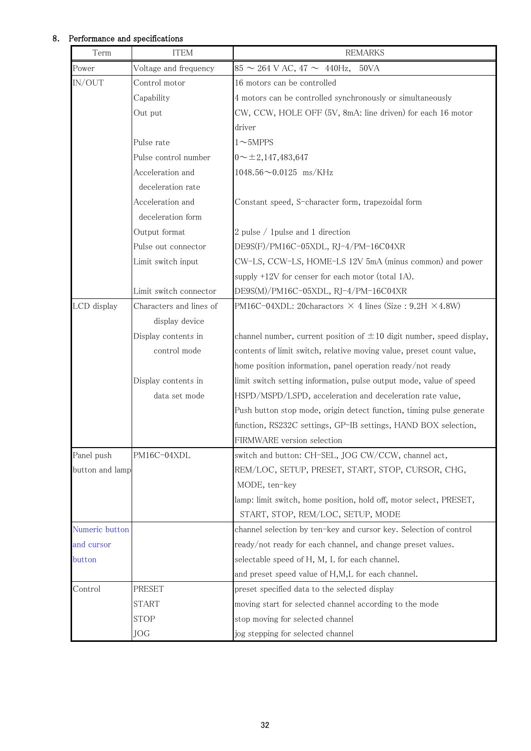#### 8. Performance and specifications

| Term            | <b>ITEM</b>             | <b>REMARKS</b>                                                            |
|-----------------|-------------------------|---------------------------------------------------------------------------|
| Power           | Voltage and frequency   | $85 \sim 264$ V AC, $47 \sim 440$ Hz,<br>50VA                             |
| IN/OUT          | Control motor           | 16 motors can be controlled                                               |
|                 | Capability              | 4 motors can be controlled synchronously or simultaneously                |
|                 | Out put                 | CW, CCW, HOLE OFF (5V, 8mA: line driven) for each 16 motor                |
|                 |                         | driver                                                                    |
|                 | Pulse rate              | $1 \sim 5MPPS$                                                            |
|                 | Pulse control number    | $0 \sim \pm 2,147,483,647$                                                |
|                 | Acceleration and        | $1048.56 \sim 0.0125$ ms/KHz                                              |
|                 | deceleration rate       |                                                                           |
|                 | Acceleration and        | Constant speed, S-character form, trapezoidal form                        |
|                 | deceleration form       |                                                                           |
|                 | Output format           | 2 pulse / 1 pulse and 1 direction                                         |
|                 | Pulse out connector     | DE9S(F)/PM16C-05XDL, RJ-4/PM-16C04XR                                      |
|                 | Limit switch input      | CW-LS, CCW-LS, HOME-LS 12V 5mA (minus common) and power                   |
|                 |                         | supply $+12V$ for censer for each motor (total 1A).                       |
|                 | Limit switch connector  | DE9S(M)/PM16C-05XDL, RJ-4/PM-16C04XR                                      |
| LCD display     | Characters and lines of | PM16C-04XDL: 20charactors $\times$ 4 lines (Size : 9.2H $\times$ 4.8W)    |
|                 | display device          |                                                                           |
|                 | Display contents in     | channel number, current position of $\pm 10$ digit number, speed display, |
|                 | control mode            | contents of limit switch, relative moving value, preset count value,      |
|                 |                         | home position information, panel operation ready/not ready                |
|                 | Display contents in     | limit switch setting information, pulse output mode, value of speed       |
|                 | data set mode           | HSPD/MSPD/LSPD, acceleration and deceleration rate value,                 |
|                 |                         | Push button stop mode, origin detect function, timing pulse generate      |
|                 |                         | function, RS232C settings, GP-IB settings, HAND BOX selection,            |
|                 |                         | FIRMWARE version selection                                                |
| Panel push      | PM16C-04XDL             | switch and button: CH-SEL, JOG CW/CCW, channel act,                       |
| button and lamp |                         | REM/LOC, SETUP, PRESET, START, STOP, CURSOR, CHG,                         |
|                 |                         | MODE, ten-key                                                             |
|                 |                         | lamp: limit switch, home position, hold off, motor select, PRESET,        |
|                 |                         | START, STOP, REM/LOC, SETUP, MODE                                         |
| Numeric button  |                         | channel selection by ten-key and cursor key. Selection of control         |
| and cursor      |                         | ready/not ready for each channel, and change preset values.               |
| button          |                         | selectable speed of H, M, L for each channel.                             |
|                 |                         | and preset speed value of H,M,L for each channel.                         |
| Control         | PRESET                  | preset specified data to the selected display                             |
|                 | <b>START</b>            | moving start for selected channel according to the mode                   |
|                 | <b>STOP</b>             | stop moving for selected channel                                          |
|                 | JOG                     | jog stepping for selected channel                                         |